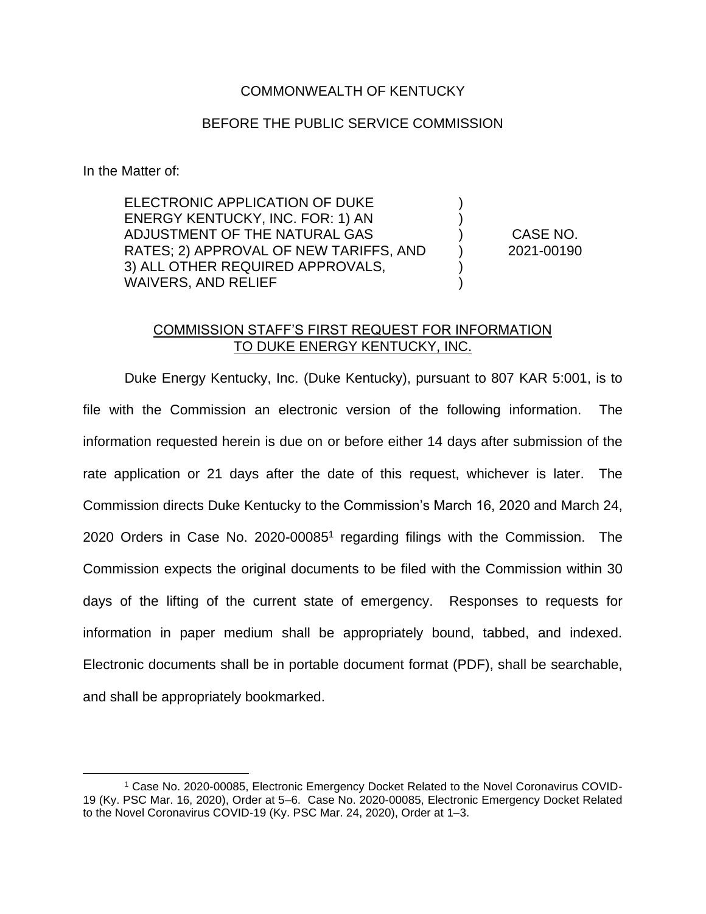#### COMMONWEALTH OF KENTUCKY

#### BEFORE THE PUBLIC SERVICE COMMISSION

In the Matter of:

ELECTRONIC APPLICATION OF DUKE ENERGY KENTUCKY, INC. FOR: 1) AN ADJUSTMENT OF THE NATURAL GAS RATES; 2) APPROVAL OF NEW TARIFFS, AND 3) ALL OTHER REQUIRED APPROVALS, WAIVERS, AND RELIEF

CASE NO. 2021-00190

) ) ) ) ) )

### COMMISSION STAFF'S FIRST REQUEST FOR INFORMATION TO DUKE ENERGY KENTUCKY, INC.

Duke Energy Kentucky, Inc. (Duke Kentucky), pursuant to 807 KAR 5:001, is to file with the Commission an electronic version of the following information. The information requested herein is due on or before either 14 days after submission of the rate application or 21 days after the date of this request, whichever is later. The Commission directs Duke Kentucky to the Commission's March 16, 2020 and March 24, 2020 Orders in Case No. 2020-00085<sup>1</sup> regarding filings with the Commission. The Commission expects the original documents to be filed with the Commission within 30 days of the lifting of the current state of emergency. Responses to requests for information in paper medium shall be appropriately bound, tabbed, and indexed. Electronic documents shall be in portable document format (PDF), shall be searchable, and shall be appropriately bookmarked.

<sup>1</sup> Case No. 2020-00085, Electronic Emergency Docket Related to the Novel Coronavirus COVID-19 (Ky. PSC Mar. 16, 2020), Order at 5–6. Case No. 2020-00085, Electronic Emergency Docket Related to the Novel Coronavirus COVID-19 (Ky. PSC Mar. 24, 2020), Order at 1–3.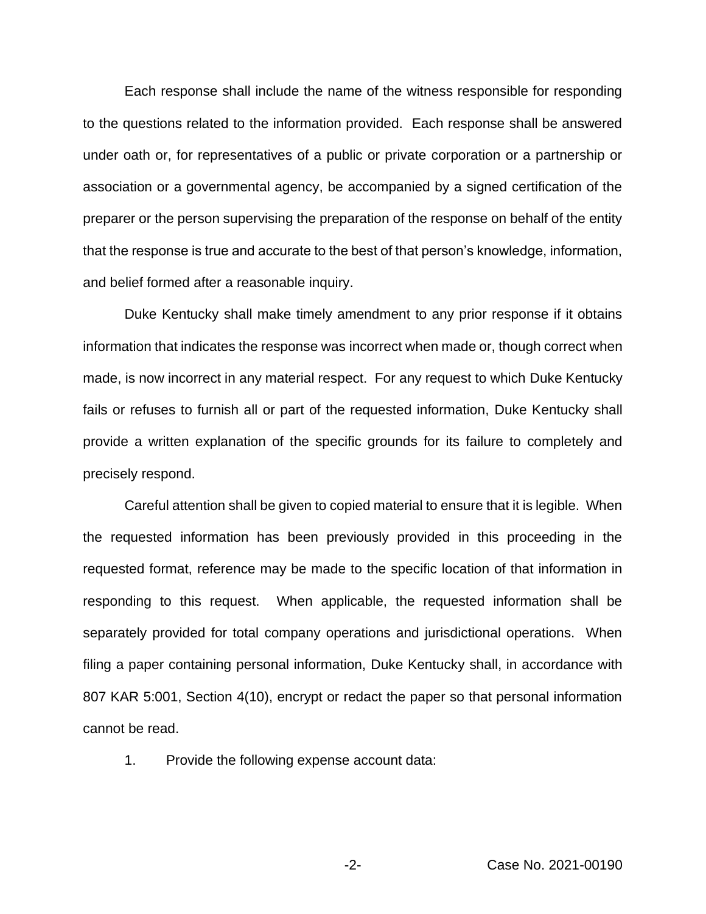Each response shall include the name of the witness responsible for responding to the questions related to the information provided. Each response shall be answered under oath or, for representatives of a public or private corporation or a partnership or association or a governmental agency, be accompanied by a signed certification of the preparer or the person supervising the preparation of the response on behalf of the entity that the response is true and accurate to the best of that person's knowledge, information, and belief formed after a reasonable inquiry.

Duke Kentucky shall make timely amendment to any prior response if it obtains information that indicates the response was incorrect when made or, though correct when made, is now incorrect in any material respect. For any request to which Duke Kentucky fails or refuses to furnish all or part of the requested information, Duke Kentucky shall provide a written explanation of the specific grounds for its failure to completely and precisely respond.

Careful attention shall be given to copied material to ensure that it is legible. When the requested information has been previously provided in this proceeding in the requested format, reference may be made to the specific location of that information in responding to this request. When applicable, the requested information shall be separately provided for total company operations and jurisdictional operations. When filing a paper containing personal information, Duke Kentucky shall, in accordance with 807 KAR 5:001, Section 4(10), encrypt or redact the paper so that personal information cannot be read.

1. Provide the following expense account data: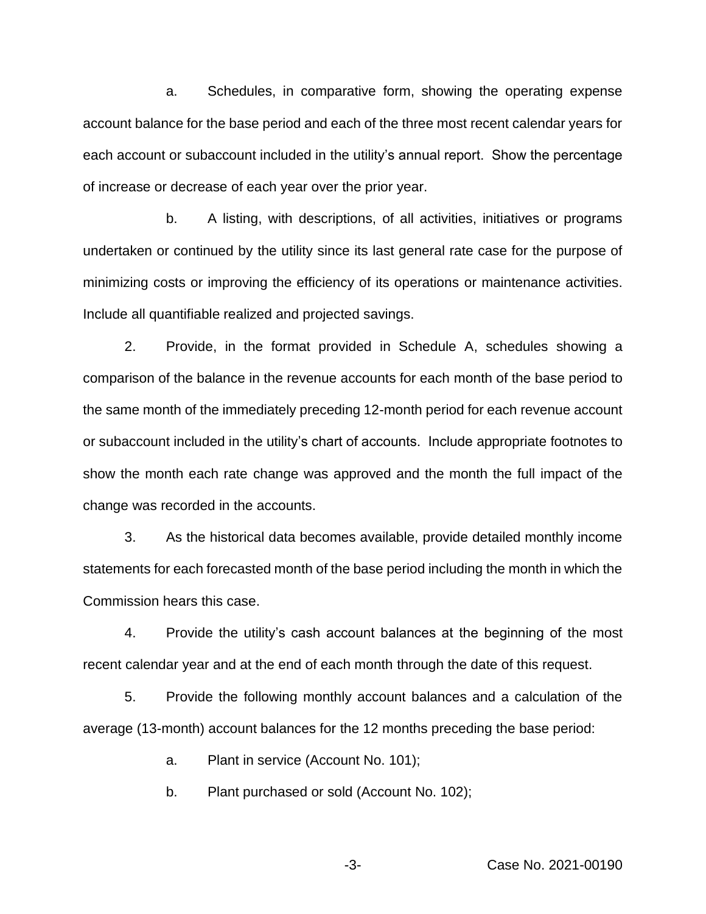a. Schedules, in comparative form, showing the operating expense account balance for the base period and each of the three most recent calendar years for each account or subaccount included in the utility's annual report. Show the percentage of increase or decrease of each year over the prior year.

b. A listing, with descriptions, of all activities, initiatives or programs undertaken or continued by the utility since its last general rate case for the purpose of minimizing costs or improving the efficiency of its operations or maintenance activities. Include all quantifiable realized and projected savings.

2. Provide, in the format provided in Schedule A, schedules showing a comparison of the balance in the revenue accounts for each month of the base period to the same month of the immediately preceding 12-month period for each revenue account or subaccount included in the utility's chart of accounts. Include appropriate footnotes to show the month each rate change was approved and the month the full impact of the change was recorded in the accounts.

3. As the historical data becomes available, provide detailed monthly income statements for each forecasted month of the base period including the month in which the Commission hears this case.

4. Provide the utility's cash account balances at the beginning of the most recent calendar year and at the end of each month through the date of this request.

5. Provide the following monthly account balances and a calculation of the average (13-month) account balances for the 12 months preceding the base period:

a. Plant in service (Account No. 101);

b. Plant purchased or sold (Account No. 102);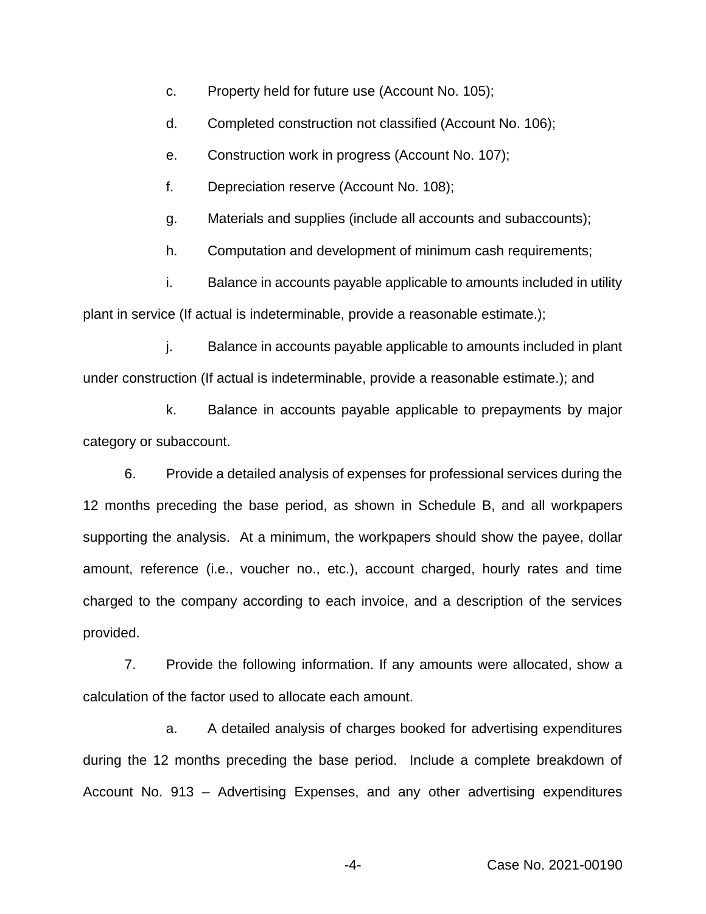- c. Property held for future use (Account No. 105);
- d. Completed construction not classified (Account No. 106);
- e. Construction work in progress (Account No. 107);
- f. Depreciation reserve (Account No. 108);
- g. Materials and supplies (include all accounts and subaccounts);
- h. Computation and development of minimum cash requirements;

i. Balance in accounts payable applicable to amounts included in utility plant in service (If actual is indeterminable, provide a reasonable estimate.);

j. Balance in accounts payable applicable to amounts included in plant under construction (If actual is indeterminable, provide a reasonable estimate.); and

k. Balance in accounts payable applicable to prepayments by major category or subaccount.

6. Provide a detailed analysis of expenses for professional services during the 12 months preceding the base period, as shown in Schedule B, and all workpapers supporting the analysis. At a minimum, the workpapers should show the payee, dollar amount, reference (i.e., voucher no., etc.), account charged, hourly rates and time charged to the company according to each invoice, and a description of the services provided.

7. Provide the following information. If any amounts were allocated, show a calculation of the factor used to allocate each amount.

a. A detailed analysis of charges booked for advertising expenditures during the 12 months preceding the base period. Include a complete breakdown of Account No. 913 – Advertising Expenses, and any other advertising expenditures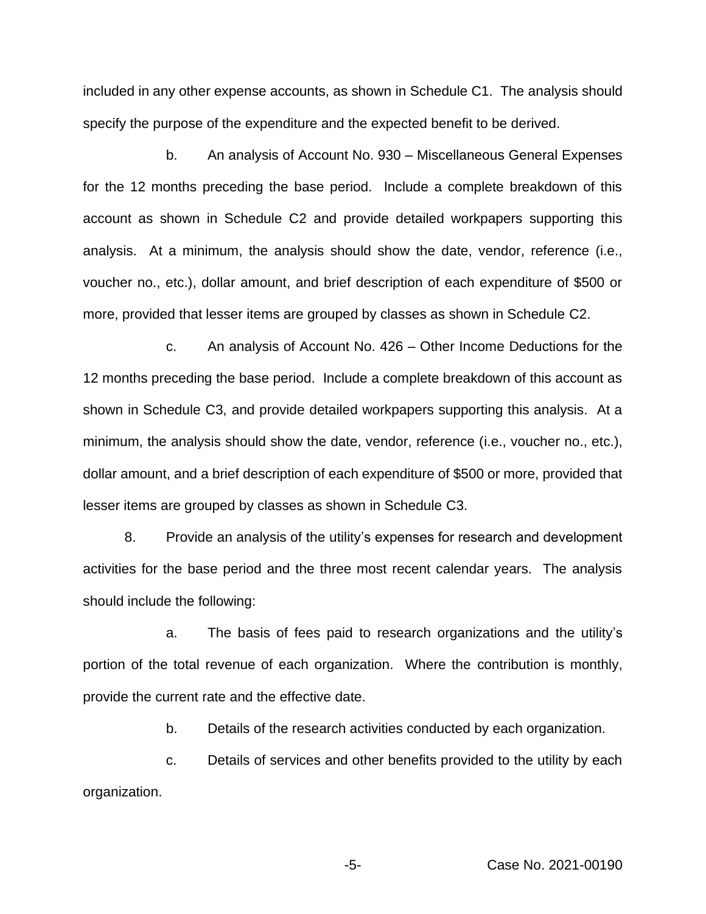included in any other expense accounts, as shown in Schedule C1. The analysis should specify the purpose of the expenditure and the expected benefit to be derived.

b. An analysis of Account No. 930 – Miscellaneous General Expenses for the 12 months preceding the base period. Include a complete breakdown of this account as shown in Schedule C2 and provide detailed workpapers supporting this analysis. At a minimum, the analysis should show the date, vendor, reference (i.e., voucher no., etc.), dollar amount, and brief description of each expenditure of \$500 or more, provided that lesser items are grouped by classes as shown in Schedule C2.

c. An analysis of Account No. 426 – Other Income Deductions for the 12 months preceding the base period. Include a complete breakdown of this account as shown in Schedule C3, and provide detailed workpapers supporting this analysis. At a minimum, the analysis should show the date, vendor, reference (i.e., voucher no., etc.), dollar amount, and a brief description of each expenditure of \$500 or more, provided that lesser items are grouped by classes as shown in Schedule C3.

8. Provide an analysis of the utility's expenses for research and development activities for the base period and the three most recent calendar years. The analysis should include the following:

a. The basis of fees paid to research organizations and the utility's portion of the total revenue of each organization. Where the contribution is monthly, provide the current rate and the effective date.

b. Details of the research activities conducted by each organization.

c. Details of services and other benefits provided to the utility by each organization.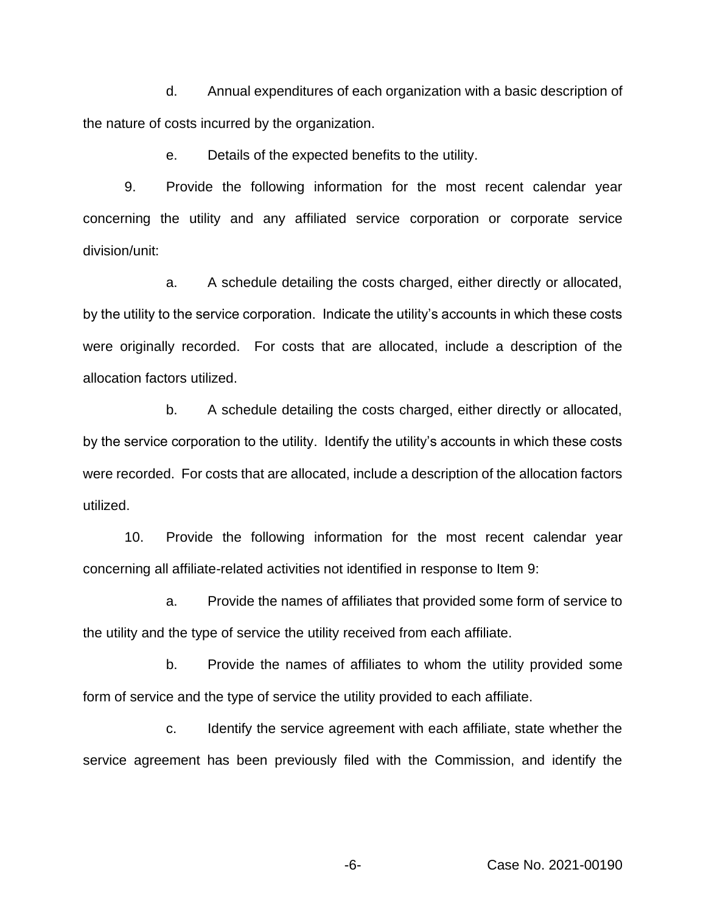d. Annual expenditures of each organization with a basic description of the nature of costs incurred by the organization.

e. Details of the expected benefits to the utility.

9. Provide the following information for the most recent calendar year concerning the utility and any affiliated service corporation or corporate service division/unit:

a. A schedule detailing the costs charged, either directly or allocated, by the utility to the service corporation. Indicate the utility's accounts in which these costs were originally recorded. For costs that are allocated, include a description of the allocation factors utilized.

b. A schedule detailing the costs charged, either directly or allocated, by the service corporation to the utility. Identify the utility's accounts in which these costs were recorded. For costs that are allocated, include a description of the allocation factors utilized.

10. Provide the following information for the most recent calendar year concerning all affiliate-related activities not identified in response to Item 9:

a. Provide the names of affiliates that provided some form of service to the utility and the type of service the utility received from each affiliate.

b. Provide the names of affiliates to whom the utility provided some form of service and the type of service the utility provided to each affiliate.

c. Identify the service agreement with each affiliate, state whether the service agreement has been previously filed with the Commission, and identify the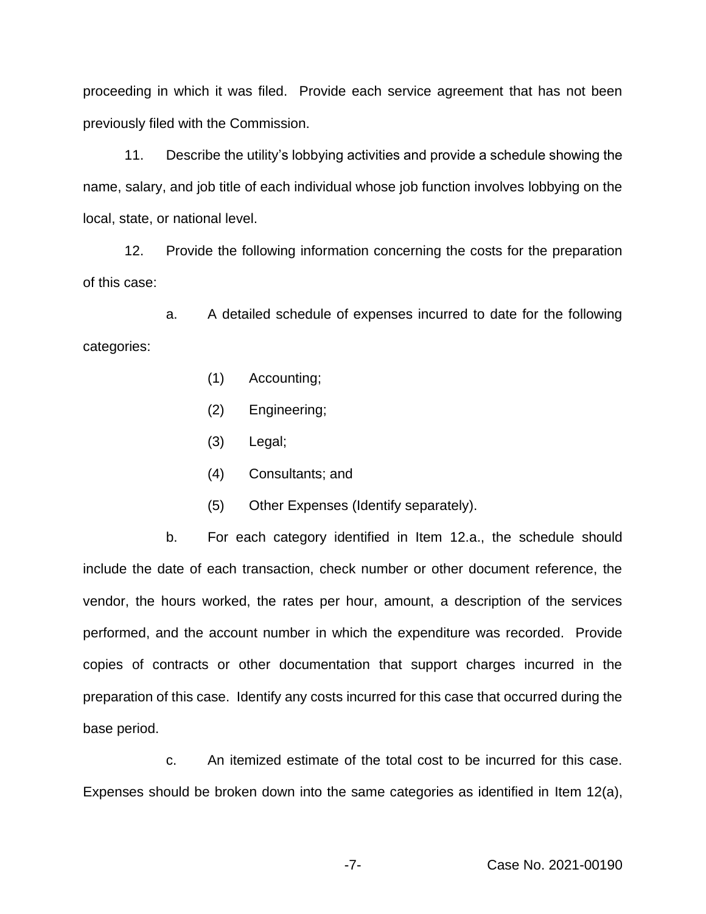proceeding in which it was filed. Provide each service agreement that has not been previously filed with the Commission.

11. Describe the utility's lobbying activities and provide a schedule showing the name, salary, and job title of each individual whose job function involves lobbying on the local, state, or national level.

12. Provide the following information concerning the costs for the preparation of this case:

a. A detailed schedule of expenses incurred to date for the following categories:

- (1) Accounting;
- (2) Engineering;
- (3) Legal;
- (4) Consultants; and
- (5) Other Expenses (Identify separately).

b. For each category identified in Item 12.a., the schedule should include the date of each transaction, check number or other document reference, the vendor, the hours worked, the rates per hour, amount, a description of the services performed, and the account number in which the expenditure was recorded. Provide copies of contracts or other documentation that support charges incurred in the preparation of this case. Identify any costs incurred for this case that occurred during the base period.

c. An itemized estimate of the total cost to be incurred for this case. Expenses should be broken down into the same categories as identified in Item 12(a),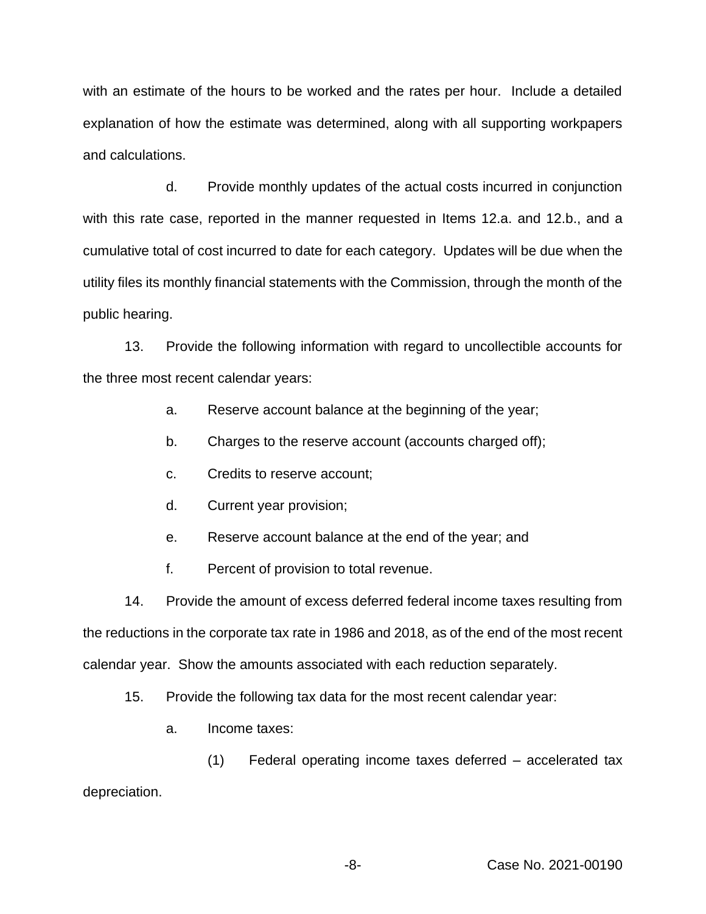with an estimate of the hours to be worked and the rates per hour. Include a detailed explanation of how the estimate was determined, along with all supporting workpapers and calculations.

d. Provide monthly updates of the actual costs incurred in conjunction with this rate case, reported in the manner requested in Items 12.a. and 12.b., and a cumulative total of cost incurred to date for each category. Updates will be due when the utility files its monthly financial statements with the Commission, through the month of the public hearing.

13. Provide the following information with regard to uncollectible accounts for the three most recent calendar years:

- a. Reserve account balance at the beginning of the year;
- b. Charges to the reserve account (accounts charged off);
- c. Credits to reserve account;
- d. Current year provision;
- e. Reserve account balance at the end of the year; and
- f. Percent of provision to total revenue.

14. Provide the amount of excess deferred federal income taxes resulting from the reductions in the corporate tax rate in 1986 and 2018, as of the end of the most recent calendar year. Show the amounts associated with each reduction separately.

- 15. Provide the following tax data for the most recent calendar year:
	- a. Income taxes:

(1) Federal operating income taxes deferred – accelerated tax depreciation.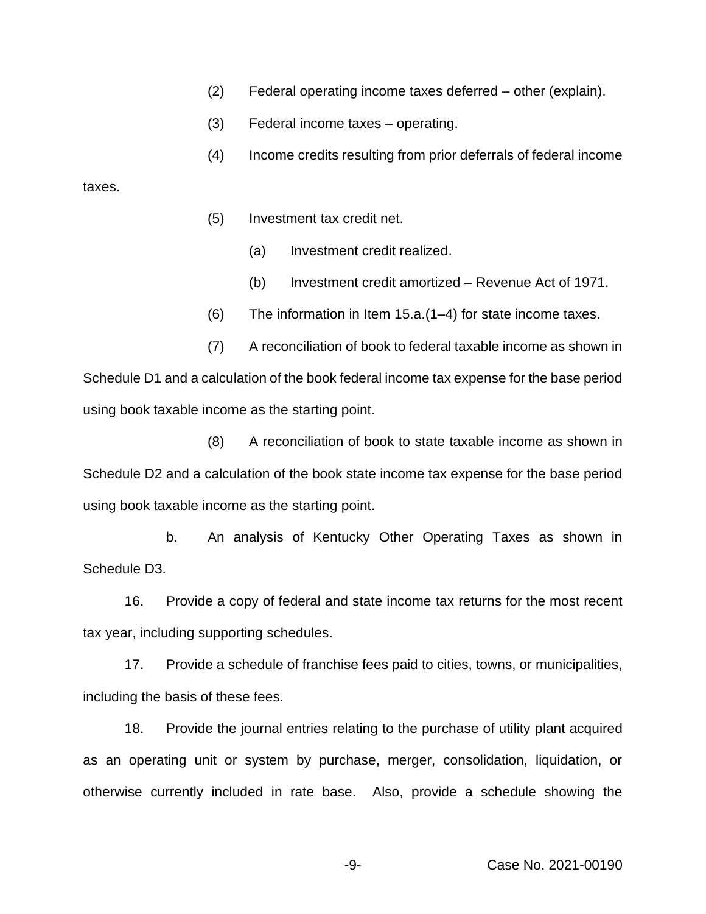- (2) Federal operating income taxes deferred other (explain).
- (3) Federal income taxes operating.
- (4) Income credits resulting from prior deferrals of federal income

taxes.

- (5) Investment tax credit net.
	- (a) Investment credit realized.
	- (b) Investment credit amortized Revenue Act of 1971.
- (6) The information in Item 15.a.(1–4) for state income taxes.

(7) A reconciliation of book to federal taxable income as shown in Schedule D1 and a calculation of the book federal income tax expense for the base period using book taxable income as the starting point.

(8) A reconciliation of book to state taxable income as shown in Schedule D2 and a calculation of the book state income tax expense for the base period using book taxable income as the starting point.

b. An analysis of Kentucky Other Operating Taxes as shown in Schedule D3.

16. Provide a copy of federal and state income tax returns for the most recent tax year, including supporting schedules.

17. Provide a schedule of franchise fees paid to cities, towns, or municipalities, including the basis of these fees.

18. Provide the journal entries relating to the purchase of utility plant acquired as an operating unit or system by purchase, merger, consolidation, liquidation, or otherwise currently included in rate base. Also, provide a schedule showing the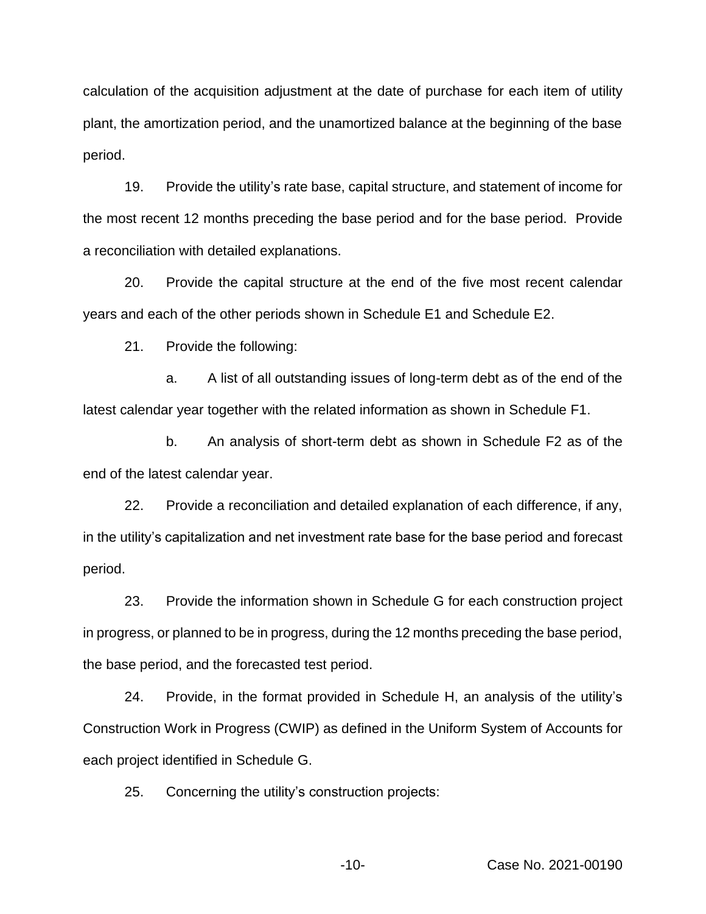calculation of the acquisition adjustment at the date of purchase for each item of utility plant, the amortization period, and the unamortized balance at the beginning of the base period.

19. Provide the utility's rate base, capital structure, and statement of income for the most recent 12 months preceding the base period and for the base period. Provide a reconciliation with detailed explanations.

20. Provide the capital structure at the end of the five most recent calendar years and each of the other periods shown in Schedule E1 and Schedule E2.

21. Provide the following:

a. A list of all outstanding issues of long-term debt as of the end of the latest calendar year together with the related information as shown in Schedule F1.

b. An analysis of short-term debt as shown in Schedule F2 as of the end of the latest calendar year.

22. Provide a reconciliation and detailed explanation of each difference, if any, in the utility's capitalization and net investment rate base for the base period and forecast period.

23. Provide the information shown in Schedule G for each construction project in progress, or planned to be in progress, during the 12 months preceding the base period, the base period, and the forecasted test period.

24. Provide, in the format provided in Schedule H, an analysis of the utility's Construction Work in Progress (CWIP) as defined in the Uniform System of Accounts for each project identified in Schedule G.

25. Concerning the utility's construction projects: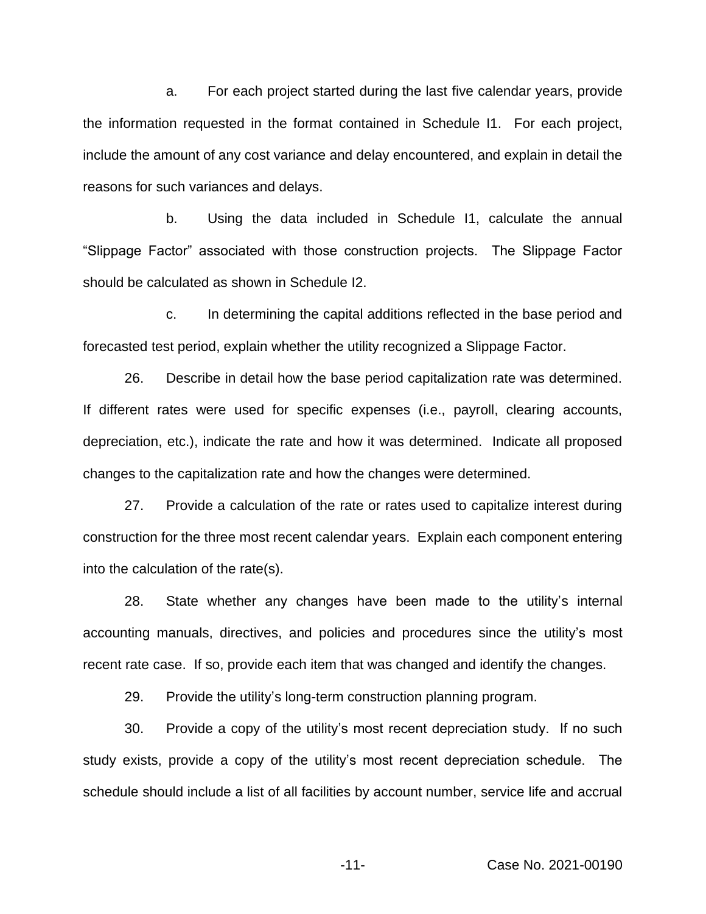a. For each project started during the last five calendar years, provide the information requested in the format contained in Schedule I1. For each project, include the amount of any cost variance and delay encountered, and explain in detail the reasons for such variances and delays.

b. Using the data included in Schedule I1, calculate the annual "Slippage Factor" associated with those construction projects. The Slippage Factor should be calculated as shown in Schedule I2.

c. In determining the capital additions reflected in the base period and forecasted test period, explain whether the utility recognized a Slippage Factor.

26. Describe in detail how the base period capitalization rate was determined. If different rates were used for specific expenses (i.e., payroll, clearing accounts, depreciation, etc.), indicate the rate and how it was determined. Indicate all proposed changes to the capitalization rate and how the changes were determined.

27. Provide a calculation of the rate or rates used to capitalize interest during construction for the three most recent calendar years. Explain each component entering into the calculation of the rate(s).

28. State whether any changes have been made to the utility's internal accounting manuals, directives, and policies and procedures since the utility's most recent rate case. If so, provide each item that was changed and identify the changes.

29. Provide the utility's long-term construction planning program.

30. Provide a copy of the utility's most recent depreciation study. If no such study exists, provide a copy of the utility's most recent depreciation schedule. The schedule should include a list of all facilities by account number, service life and accrual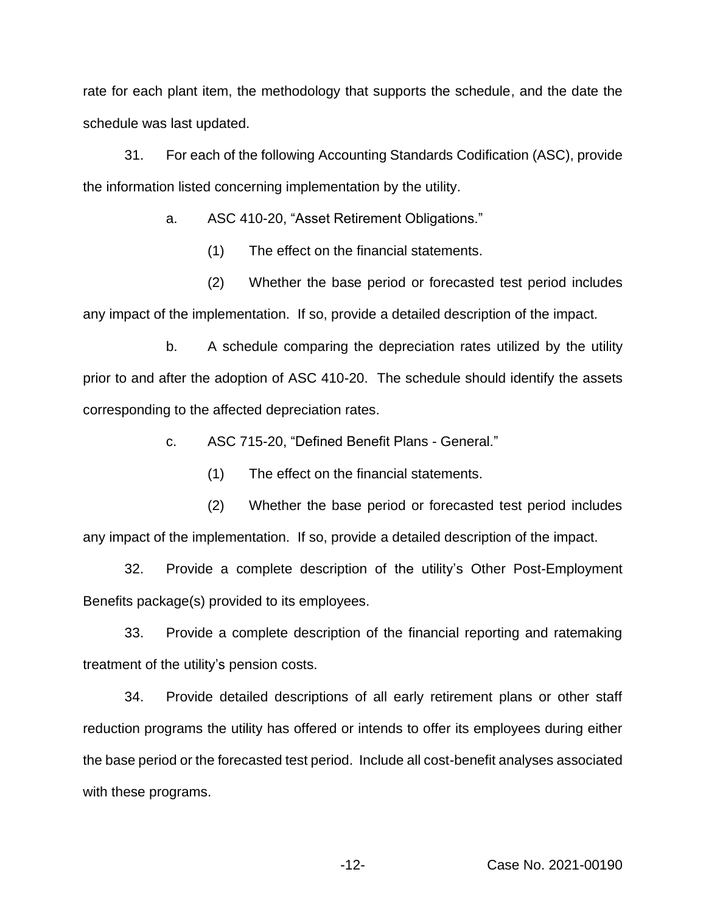rate for each plant item, the methodology that supports the schedule, and the date the schedule was last updated.

31. For each of the following Accounting Standards Codification (ASC), provide the information listed concerning implementation by the utility.

a. ASC 410-20, "Asset Retirement Obligations."

(1) The effect on the financial statements.

(2) Whether the base period or forecasted test period includes any impact of the implementation. If so, provide a detailed description of the impact.

b. A schedule comparing the depreciation rates utilized by the utility prior to and after the adoption of ASC 410-20. The schedule should identify the assets corresponding to the affected depreciation rates.

c. ASC 715-20, "Defined Benefit Plans - General."

(1) The effect on the financial statements.

(2) Whether the base period or forecasted test period includes any impact of the implementation. If so, provide a detailed description of the impact.

32. Provide a complete description of the utility's Other Post-Employment Benefits package(s) provided to its employees.

33. Provide a complete description of the financial reporting and ratemaking treatment of the utility's pension costs.

34. Provide detailed descriptions of all early retirement plans or other staff reduction programs the utility has offered or intends to offer its employees during either the base period or the forecasted test period. Include all cost-benefit analyses associated with these programs.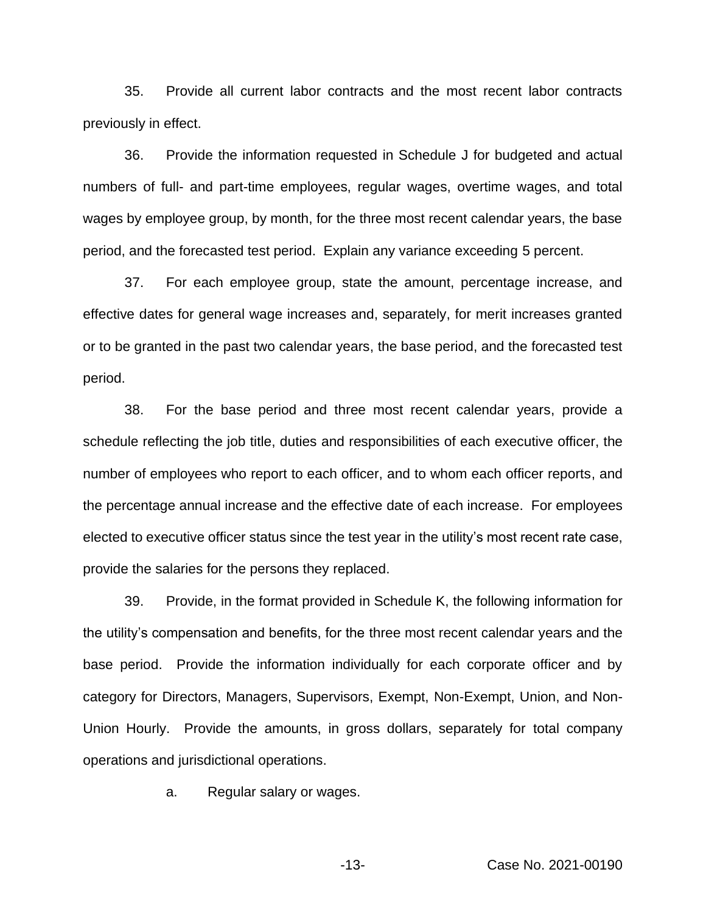35. Provide all current labor contracts and the most recent labor contracts previously in effect.

36. Provide the information requested in Schedule J for budgeted and actual numbers of full- and part-time employees, regular wages, overtime wages, and total wages by employee group, by month, for the three most recent calendar years, the base period, and the forecasted test period. Explain any variance exceeding 5 percent.

37. For each employee group, state the amount, percentage increase, and effective dates for general wage increases and, separately, for merit increases granted or to be granted in the past two calendar years, the base period, and the forecasted test period.

38. For the base period and three most recent calendar years, provide a schedule reflecting the job title, duties and responsibilities of each executive officer, the number of employees who report to each officer, and to whom each officer reports, and the percentage annual increase and the effective date of each increase. For employees elected to executive officer status since the test year in the utility's most recent rate case, provide the salaries for the persons they replaced.

39. Provide, in the format provided in Schedule K, the following information for the utility's compensation and benefits, for the three most recent calendar years and the base period. Provide the information individually for each corporate officer and by category for Directors, Managers, Supervisors, Exempt, Non-Exempt, Union, and Non-Union Hourly. Provide the amounts, in gross dollars, separately for total company operations and jurisdictional operations.

a. Regular salary or wages.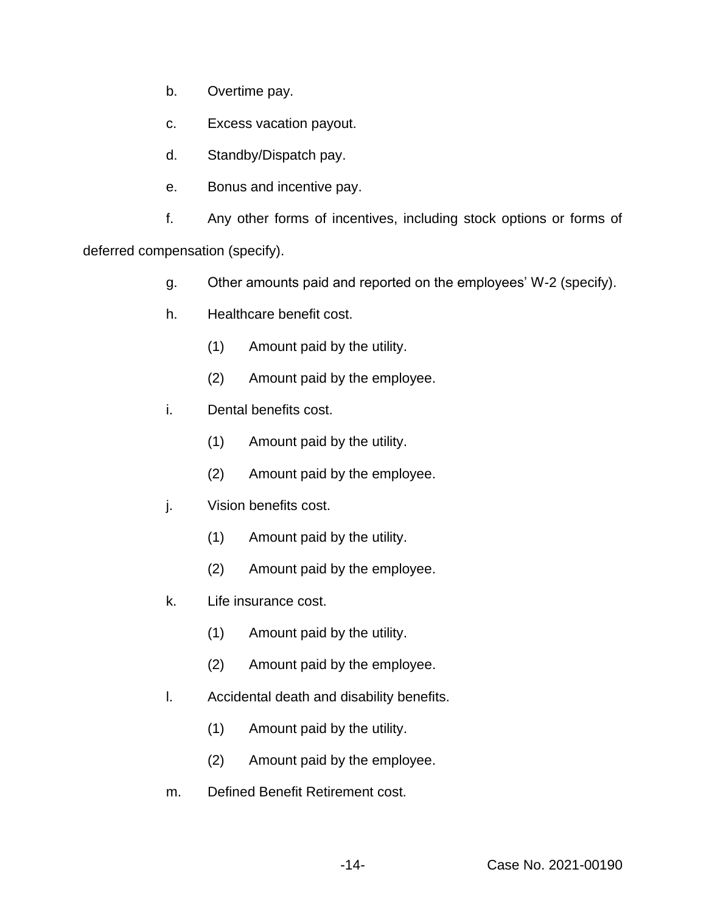- b. Overtime pay.
- c. Excess vacation payout.
- d. Standby/Dispatch pay.
- e. Bonus and incentive pay.

f. Any other forms of incentives, including stock options or forms of

deferred compensation (specify).

- g. Other amounts paid and reported on the employees' W-2 (specify).
- h. Healthcare benefit cost.
	- (1) Amount paid by the utility.
	- (2) Amount paid by the employee.
- i. Dental benefits cost.
	- (1) Amount paid by the utility.
	- (2) Amount paid by the employee.
- j. Vision benefits cost.
	- (1) Amount paid by the utility.
	- (2) Amount paid by the employee.
- k. Life insurance cost.
	- (1) Amount paid by the utility.
	- (2) Amount paid by the employee.
- l. Accidental death and disability benefits.
	- (1) Amount paid by the utility.
	- (2) Amount paid by the employee.
- m. Defined Benefit Retirement cost.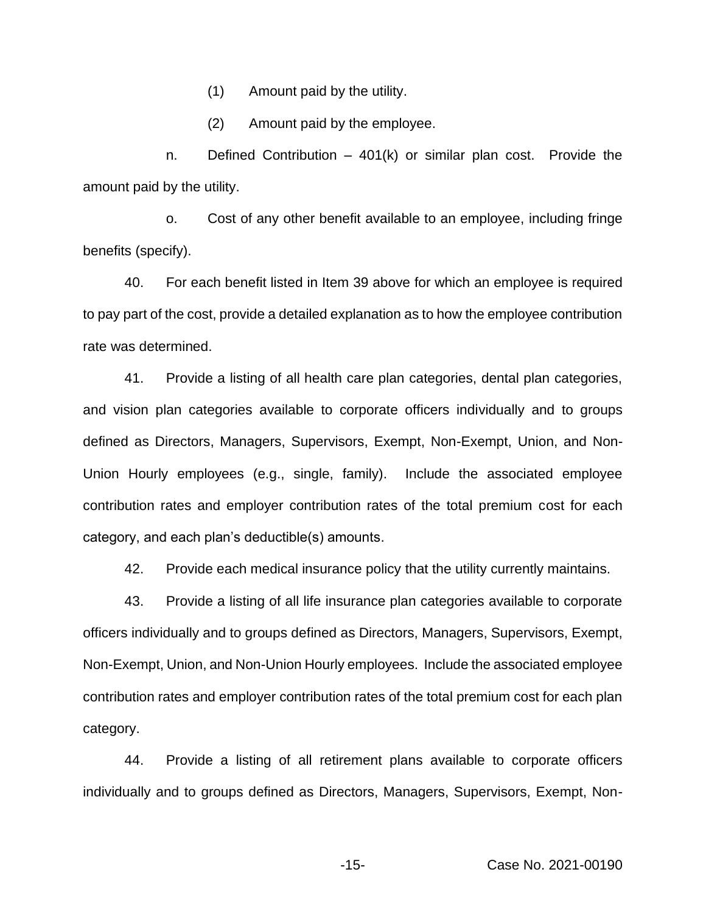(1) Amount paid by the utility.

(2) Amount paid by the employee.

n. Defined Contribution – 401(k) or similar plan cost. Provide the amount paid by the utility.

o. Cost of any other benefit available to an employee, including fringe benefits (specify).

40. For each benefit listed in Item 39 above for which an employee is required to pay part of the cost, provide a detailed explanation as to how the employee contribution rate was determined.

41. Provide a listing of all health care plan categories, dental plan categories, and vision plan categories available to corporate officers individually and to groups defined as Directors, Managers, Supervisors, Exempt, Non-Exempt, Union, and Non-Union Hourly employees (e.g., single, family). Include the associated employee contribution rates and employer contribution rates of the total premium cost for each category, and each plan's deductible(s) amounts.

42. Provide each medical insurance policy that the utility currently maintains.

43. Provide a listing of all life insurance plan categories available to corporate officers individually and to groups defined as Directors, Managers, Supervisors, Exempt, Non-Exempt, Union, and Non-Union Hourly employees. Include the associated employee contribution rates and employer contribution rates of the total premium cost for each plan category.

44. Provide a listing of all retirement plans available to corporate officers individually and to groups defined as Directors, Managers, Supervisors, Exempt, Non-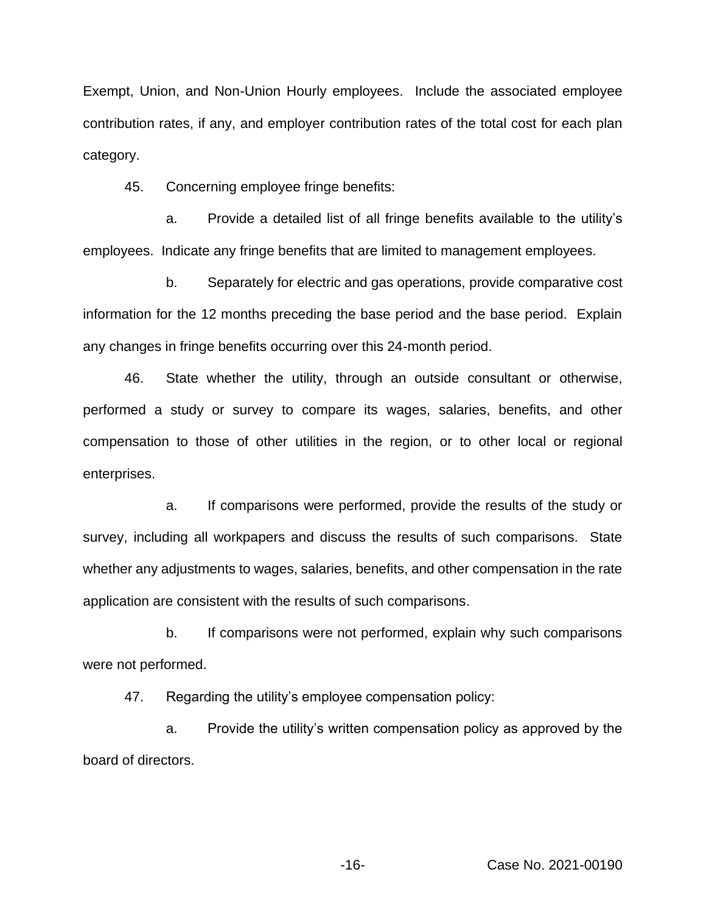Exempt, Union, and Non-Union Hourly employees. Include the associated employee contribution rates, if any, and employer contribution rates of the total cost for each plan category.

45. Concerning employee fringe benefits:

a. Provide a detailed list of all fringe benefits available to the utility's employees. Indicate any fringe benefits that are limited to management employees.

b. Separately for electric and gas operations, provide comparative cost information for the 12 months preceding the base period and the base period. Explain any changes in fringe benefits occurring over this 24-month period.

46. State whether the utility, through an outside consultant or otherwise, performed a study or survey to compare its wages, salaries, benefits, and other compensation to those of other utilities in the region, or to other local or regional enterprises.

a. If comparisons were performed, provide the results of the study or survey, including all workpapers and discuss the results of such comparisons. State whether any adjustments to wages, salaries, benefits, and other compensation in the rate application are consistent with the results of such comparisons.

b. If comparisons were not performed, explain why such comparisons were not performed.

47. Regarding the utility's employee compensation policy:

a. Provide the utility's written compensation policy as approved by the board of directors.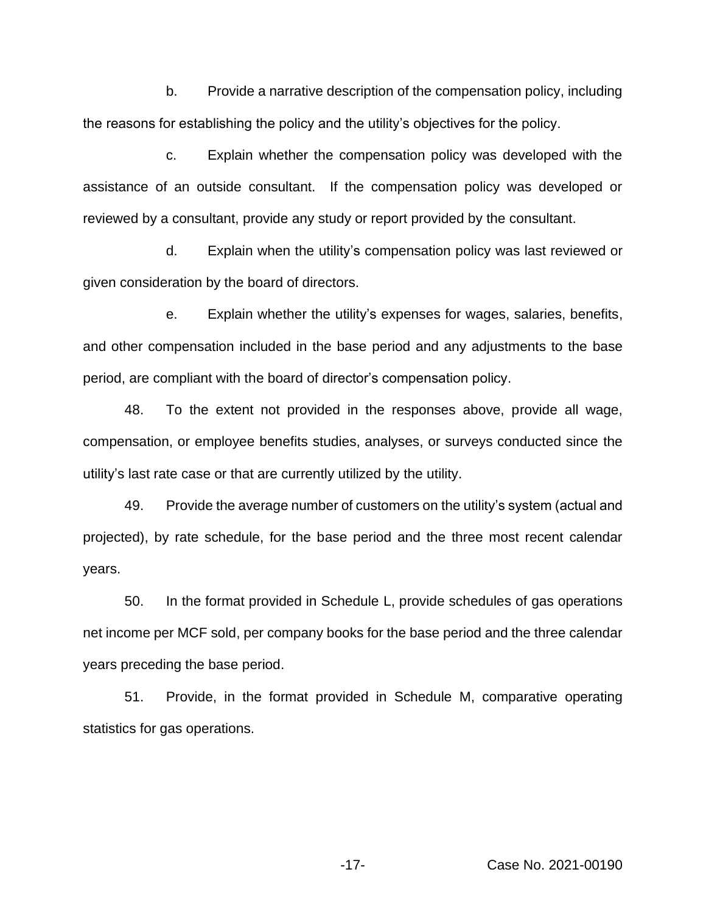b. Provide a narrative description of the compensation policy, including the reasons for establishing the policy and the utility's objectives for the policy.

c. Explain whether the compensation policy was developed with the assistance of an outside consultant. If the compensation policy was developed or reviewed by a consultant, provide any study or report provided by the consultant.

d. Explain when the utility's compensation policy was last reviewed or given consideration by the board of directors.

e. Explain whether the utility's expenses for wages, salaries, benefits, and other compensation included in the base period and any adjustments to the base period, are compliant with the board of director's compensation policy.

48. To the extent not provided in the responses above, provide all wage, compensation, or employee benefits studies, analyses, or surveys conducted since the utility's last rate case or that are currently utilized by the utility.

49. Provide the average number of customers on the utility's system (actual and projected), by rate schedule, for the base period and the three most recent calendar years.

50. In the format provided in Schedule L, provide schedules of gas operations net income per MCF sold, per company books for the base period and the three calendar years preceding the base period.

51. Provide, in the format provided in Schedule M, comparative operating statistics for gas operations.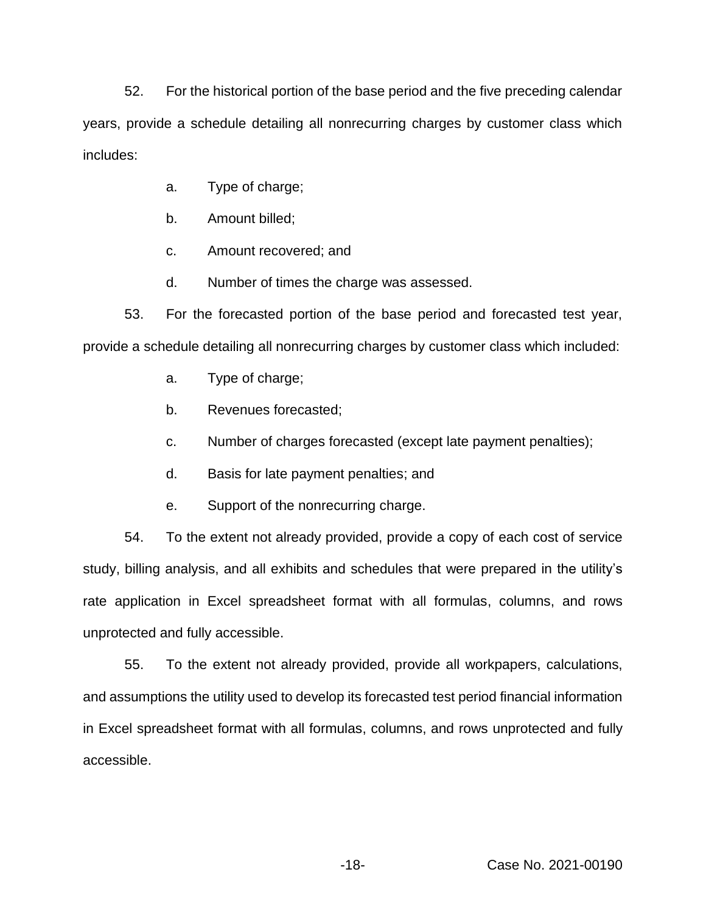52. For the historical portion of the base period and the five preceding calendar years, provide a schedule detailing all nonrecurring charges by customer class which includes:

- a. Type of charge;
- b. Amount billed;
- c. Amount recovered; and
- d. Number of times the charge was assessed.

53. For the forecasted portion of the base period and forecasted test year, provide a schedule detailing all nonrecurring charges by customer class which included:

- a. Type of charge;
- b. Revenues forecasted;
- c. Number of charges forecasted (except late payment penalties);
- d. Basis for late payment penalties; and
- e. Support of the nonrecurring charge.

54. To the extent not already provided, provide a copy of each cost of service study, billing analysis, and all exhibits and schedules that were prepared in the utility's rate application in Excel spreadsheet format with all formulas, columns, and rows unprotected and fully accessible.

55. To the extent not already provided, provide all workpapers, calculations, and assumptions the utility used to develop its forecasted test period financial information in Excel spreadsheet format with all formulas, columns, and rows unprotected and fully accessible.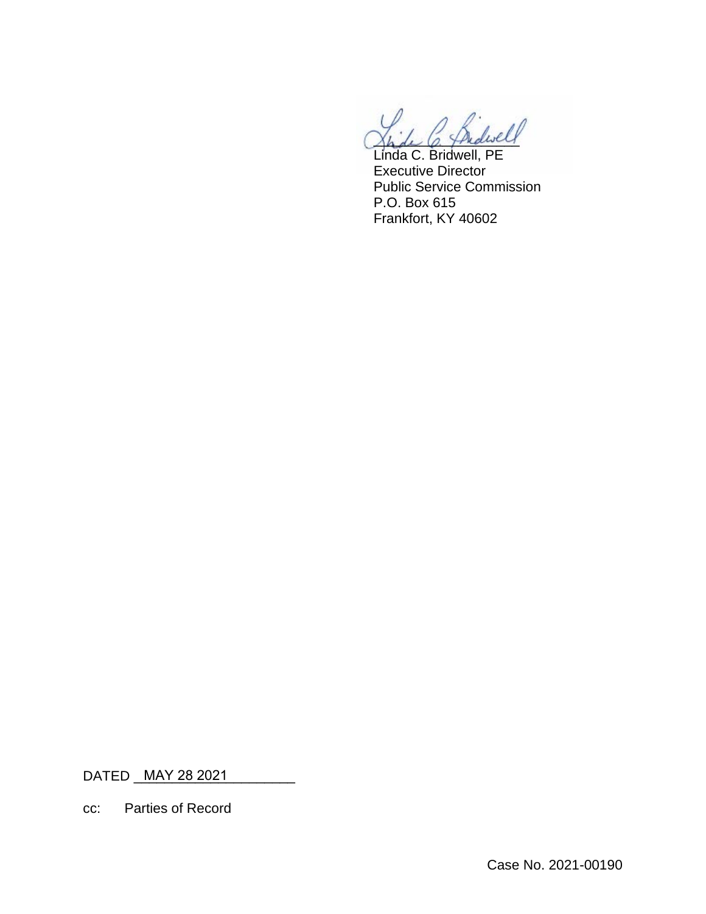$\omega$ 

Linda C. Bridwell, PE Executive Director Public Service Commission P.O. Box 615 Frankfort, KY 40602

DATED <u>\_\_MAY 28 2021 \_\_\_\_\_\_\_\_\_\_</u>\_\_\_

cc: Parties of Record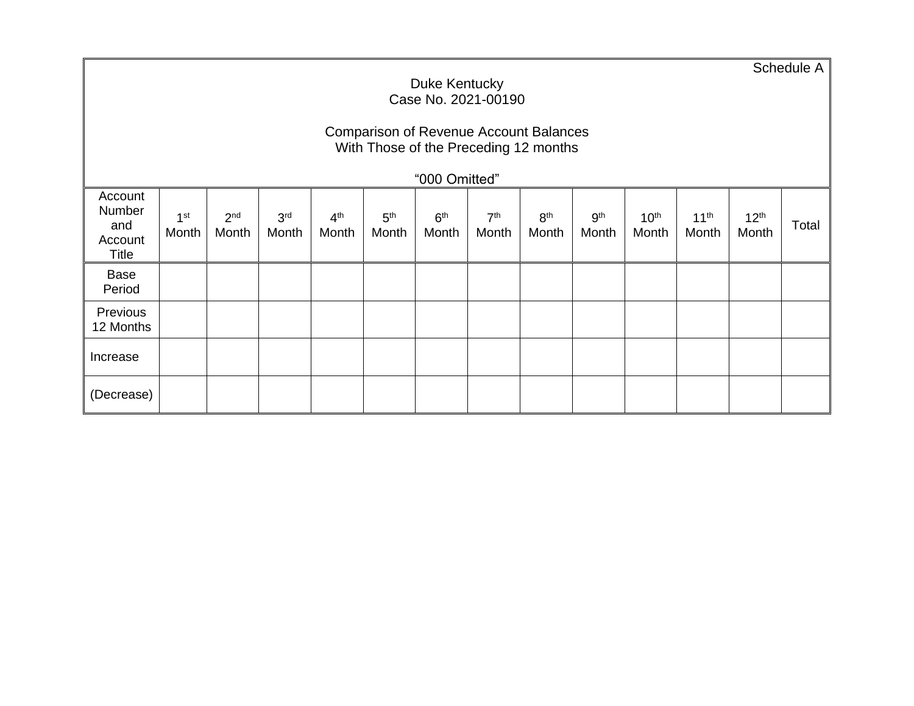|                                                     | Duke Kentucky<br>Case No. 2021-00190                                                   |                          |                          |                          |                          |                          |                          |                          |                          |                           |                           |                           | Schedule A |
|-----------------------------------------------------|----------------------------------------------------------------------------------------|--------------------------|--------------------------|--------------------------|--------------------------|--------------------------|--------------------------|--------------------------|--------------------------|---------------------------|---------------------------|---------------------------|------------|
|                                                     | <b>Comparison of Revenue Account Balances</b><br>With Those of the Preceding 12 months |                          |                          |                          |                          |                          |                          |                          |                          |                           |                           |                           |            |
|                                                     |                                                                                        |                          |                          |                          |                          | "000 Omitted"            |                          |                          |                          |                           |                           |                           |            |
| Account<br>Number<br>and<br>Account<br><b>Title</b> | 1 <sup>st</sup><br>Month                                                               | 2 <sup>nd</sup><br>Month | 3 <sup>rd</sup><br>Month | 4 <sup>th</sup><br>Month | 5 <sup>th</sup><br>Month | 6 <sup>th</sup><br>Month | 7 <sup>th</sup><br>Month | 8 <sup>th</sup><br>Month | 9 <sup>th</sup><br>Month | 10 <sup>th</sup><br>Month | 11 <sup>th</sup><br>Month | 12 <sup>th</sup><br>Month | Total      |
| <b>Base</b><br>Period                               |                                                                                        |                          |                          |                          |                          |                          |                          |                          |                          |                           |                           |                           |            |
| Previous<br>12 Months                               |                                                                                        |                          |                          |                          |                          |                          |                          |                          |                          |                           |                           |                           |            |
| Increase                                            |                                                                                        |                          |                          |                          |                          |                          |                          |                          |                          |                           |                           |                           |            |
| (Decrease)                                          |                                                                                        |                          |                          |                          |                          |                          |                          |                          |                          |                           |                           |                           |            |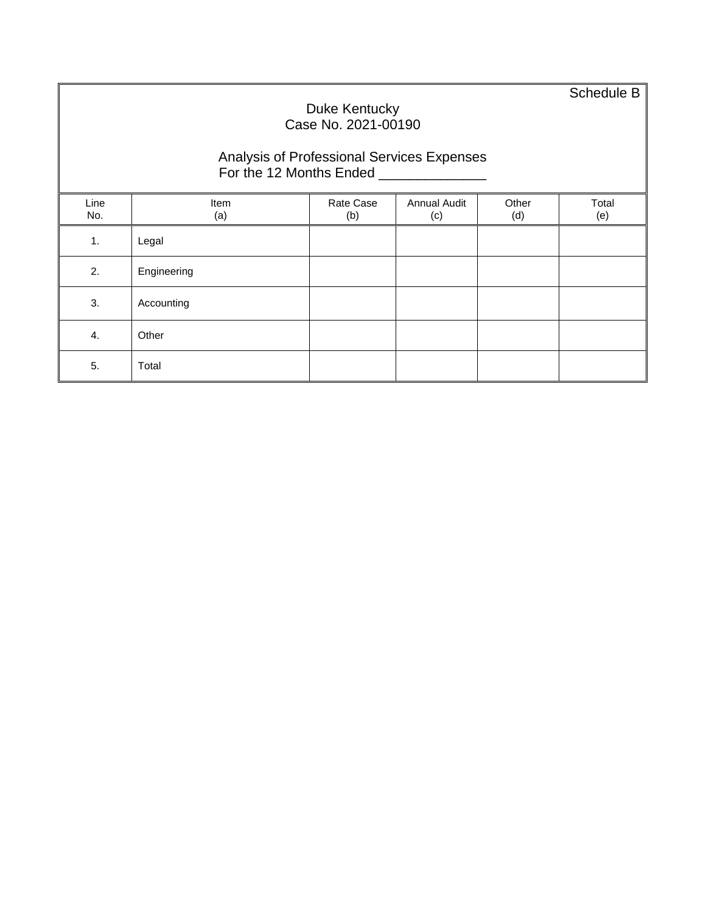Schedule B

#### Duke Kentucky Case No. 2021-00190 Analysis of Professional Services Expenses For the 12 Months Ended \_\_\_\_\_\_\_\_\_\_\_\_\_\_\_\_\_ Line No. Item (a) Rate Case (b) Annual Audit (c) Other (d) Total (e) 1. Legal 2. Engineering 3. Accounting 4. Other 5. Total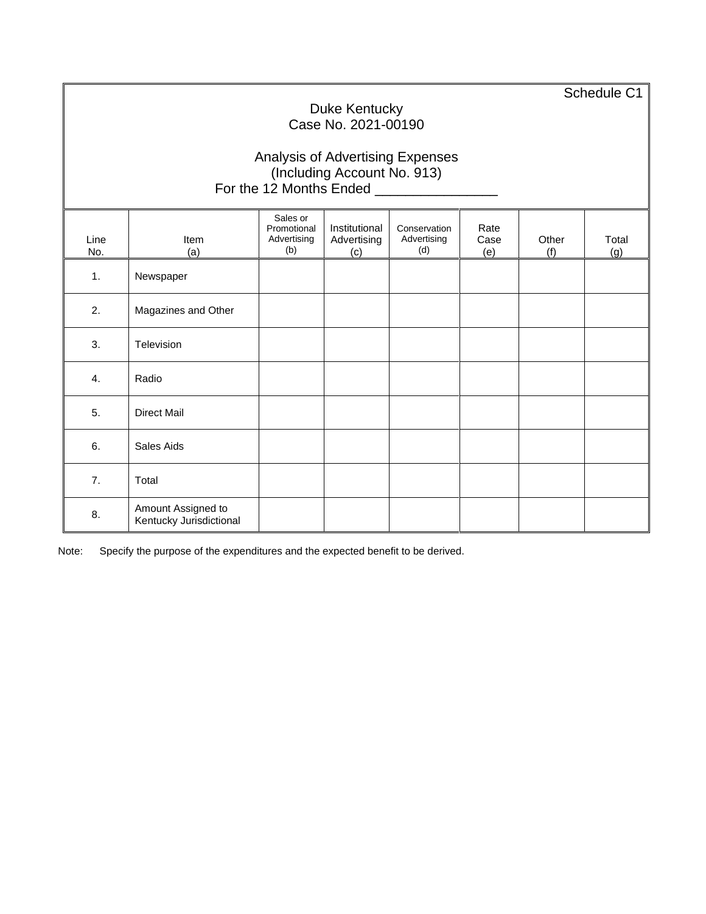Schedule C1

# Duke Kentucky Case No. 2021-00190

### Analysis of Advertising Expenses (Including Account No. 913) For the 12 Months Ended **Learn Contract Contract Contract Contract Contract Contract Contract Contract Contract**

| Line<br>No. | Item<br>(a)                                   | Sales or<br>Promotional<br>Advertising<br>(b) | Institutional<br>Advertising<br>(c) | Conservation<br>Advertising<br>(d) | Rate<br>Case<br>(e) | Other<br>(f) | Total<br>(g) |
|-------------|-----------------------------------------------|-----------------------------------------------|-------------------------------------|------------------------------------|---------------------|--------------|--------------|
| 1.          | Newspaper                                     |                                               |                                     |                                    |                     |              |              |
| 2.          | Magazines and Other                           |                                               |                                     |                                    |                     |              |              |
| 3.          | Television                                    |                                               |                                     |                                    |                     |              |              |
| 4.          | Radio                                         |                                               |                                     |                                    |                     |              |              |
| 5.          | <b>Direct Mail</b>                            |                                               |                                     |                                    |                     |              |              |
| 6.          | Sales Aids                                    |                                               |                                     |                                    |                     |              |              |
| 7.          | Total                                         |                                               |                                     |                                    |                     |              |              |
| 8.          | Amount Assigned to<br>Kentucky Jurisdictional |                                               |                                     |                                    |                     |              |              |

Note: Specify the purpose of the expenditures and the expected benefit to be derived.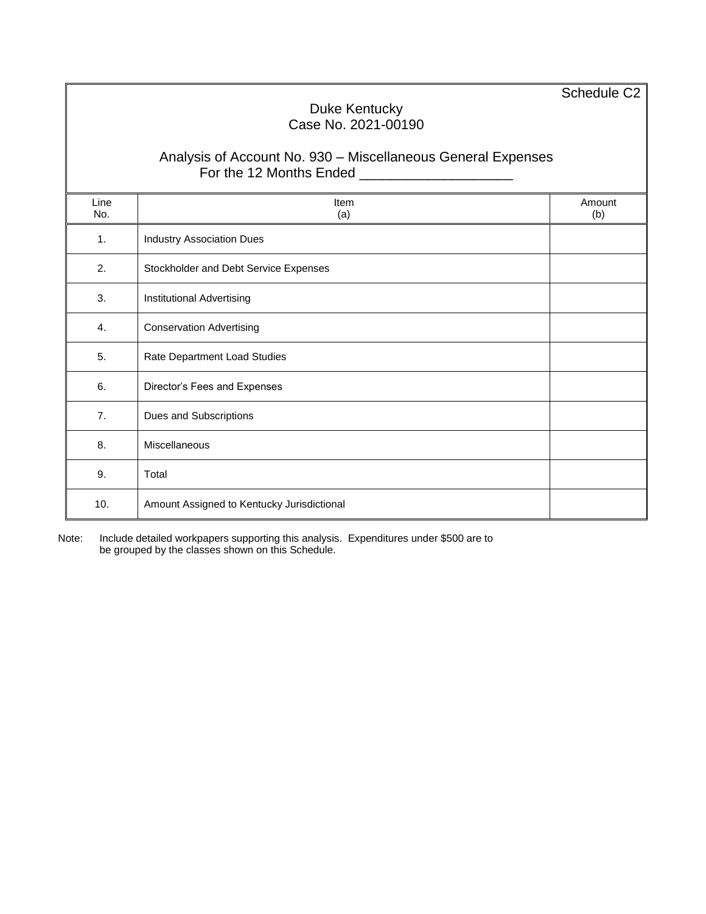Schedule C2

# Duke Kentucky Case No. 2021-00190

### Analysis of Account No. 930 – Miscellaneous General Expenses For the 12 Months Ended \_\_\_\_\_\_\_\_\_\_\_\_\_\_\_\_\_\_\_\_

| Line<br>No. | Item<br>(a)                                | Amount<br>(b) |
|-------------|--------------------------------------------|---------------|
| 1.          | <b>Industry Association Dues</b>           |               |
| 2.          | Stockholder and Debt Service Expenses      |               |
| 3.          | Institutional Advertising                  |               |
| 4.          | <b>Conservation Advertising</b>            |               |
| 5.          | Rate Department Load Studies               |               |
| 6.          | Director's Fees and Expenses               |               |
| 7.          | Dues and Subscriptions                     |               |
| 8.          | Miscellaneous                              |               |
| 9.          | Total                                      |               |
| 10.         | Amount Assigned to Kentucky Jurisdictional |               |

Note: Include detailed workpapers supporting this analysis. Expenditures under \$500 are to be grouped by the classes shown on this Schedule.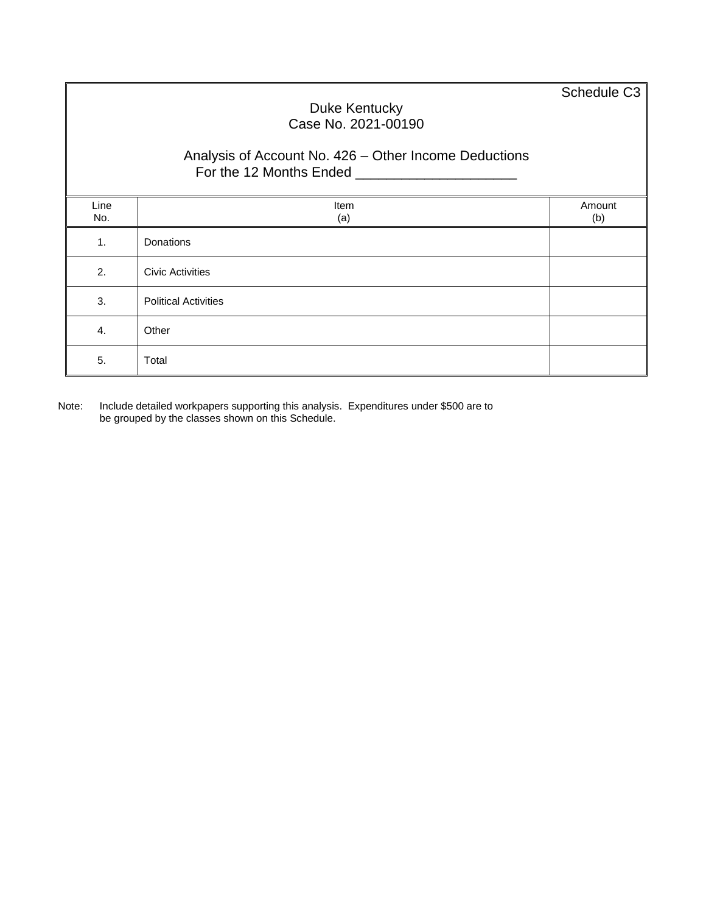Schedule C3

## Duke Kentucky Case No. 2021-00190

## Analysis of Account No. 426 – Other Income Deductions For the 12 Months Ended \_\_\_\_\_\_\_\_\_\_\_\_\_\_\_\_\_\_\_\_\_

| Line<br>No. | Item<br>(a)                 | Amount<br>(b) |
|-------------|-----------------------------|---------------|
| 1.          | Donations                   |               |
| 2.          | <b>Civic Activities</b>     |               |
| 3.          | <b>Political Activities</b> |               |
| 4.          | Other                       |               |
| 5.          | Total                       |               |

Note: Include detailed workpapers supporting this analysis. Expenditures under \$500 are to be grouped by the classes shown on this Schedule.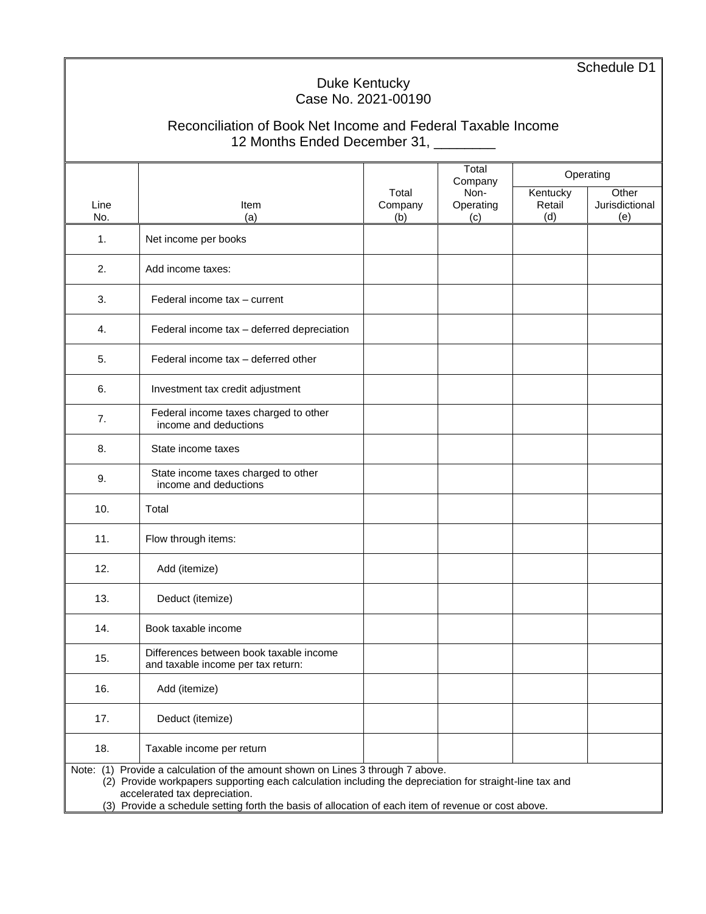Schedule D1

## Duke Kentucky Case No. 2021-00190

# Reconciliation of Book Net Income and Federal Taxable Income 12 Months Ended December 31, \_\_\_\_\_\_\_\_

|             |                                                                                                                                      |         | Total<br>Company |          | Operating      |  |  |  |  |  |
|-------------|--------------------------------------------------------------------------------------------------------------------------------------|---------|------------------|----------|----------------|--|--|--|--|--|
|             |                                                                                                                                      | Total   | Non-             | Kentucky | Other          |  |  |  |  |  |
| Line        | Item                                                                                                                                 | Company | Operating        | Retail   | Jurisdictional |  |  |  |  |  |
| No.         | (a)                                                                                                                                  | (b)     | (c)              | (d)      | (e)            |  |  |  |  |  |
| 1.          | Net income per books                                                                                                                 |         |                  |          |                |  |  |  |  |  |
| 2.          | Add income taxes:                                                                                                                    |         |                  |          |                |  |  |  |  |  |
| 3.          | Federal income tax - current                                                                                                         |         |                  |          |                |  |  |  |  |  |
| 4.          | Federal income tax - deferred depreciation                                                                                           |         |                  |          |                |  |  |  |  |  |
| 5.          | Federal income tax - deferred other                                                                                                  |         |                  |          |                |  |  |  |  |  |
| 6.          | Investment tax credit adjustment                                                                                                     |         |                  |          |                |  |  |  |  |  |
| 7.          | Federal income taxes charged to other<br>income and deductions                                                                       |         |                  |          |                |  |  |  |  |  |
| 8.          | State income taxes                                                                                                                   |         |                  |          |                |  |  |  |  |  |
| 9.          | State income taxes charged to other<br>income and deductions                                                                         |         |                  |          |                |  |  |  |  |  |
| 10.         | Total                                                                                                                                |         |                  |          |                |  |  |  |  |  |
| 11.         | Flow through items:                                                                                                                  |         |                  |          |                |  |  |  |  |  |
| 12.         | Add (itemize)                                                                                                                        |         |                  |          |                |  |  |  |  |  |
| 13.         | Deduct (itemize)                                                                                                                     |         |                  |          |                |  |  |  |  |  |
| 14.         | Book taxable income                                                                                                                  |         |                  |          |                |  |  |  |  |  |
| 15.         | Differences between book taxable income<br>and taxable income per tax return:                                                        |         |                  |          |                |  |  |  |  |  |
| 16.         | Add (itemize)                                                                                                                        |         |                  |          |                |  |  |  |  |  |
| 17.         | Deduct (itemize)                                                                                                                     |         |                  |          |                |  |  |  |  |  |
| 18.         | Taxable income per return                                                                                                            |         |                  |          |                |  |  |  |  |  |
| Note: $(1)$ | Provide a calculation of the amount shown on Lines 3 through 7 above.                                                                |         |                  |          |                |  |  |  |  |  |
|             | (2) Provide workpapers supporting each calculation including the depreciation for straight-line tax and                              |         |                  |          |                |  |  |  |  |  |
|             | accelerated tax depreciation.<br>(3) Provide a schedule setting forth the basis of allocation of each item of revenue or cost above. |         |                  |          |                |  |  |  |  |  |
|             |                                                                                                                                      |         |                  |          |                |  |  |  |  |  |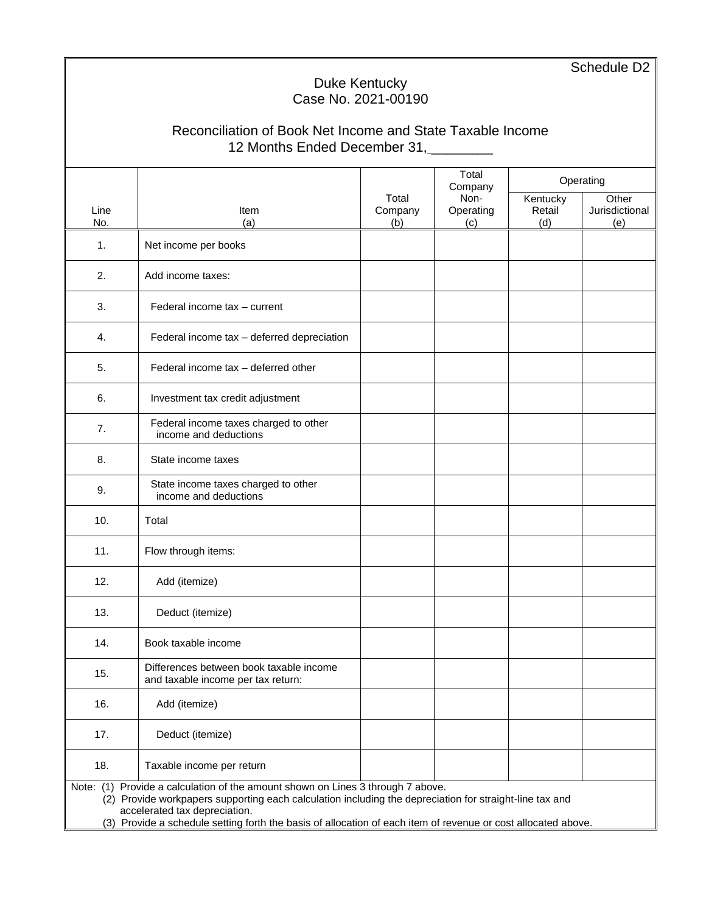Schedule D<sub>2</sub>

# Duke Kentucky Case No. 2021-00190

# Reconciliation of Book Net Income and State Taxable Income 12 Months Ended December 31,

|      |                                                                                                               |         | Total<br>Company |          | Operating      |
|------|---------------------------------------------------------------------------------------------------------------|---------|------------------|----------|----------------|
|      |                                                                                                               | Total   | Non-             | Kentucky | Other          |
| Line | <b>Item</b>                                                                                                   | Company | Operating        | Retail   | Jurisdictional |
| No.  | (a)                                                                                                           | (b)     | (c)              | (d)      | (e)            |
| 1.   | Net income per books                                                                                          |         |                  |          |                |
| 2.   | Add income taxes:                                                                                             |         |                  |          |                |
| 3.   | Federal income tax - current                                                                                  |         |                  |          |                |
| 4.   | Federal income tax - deferred depreciation                                                                    |         |                  |          |                |
| 5.   | Federal income tax - deferred other                                                                           |         |                  |          |                |
| 6.   | Investment tax credit adjustment                                                                              |         |                  |          |                |
| 7.   | Federal income taxes charged to other<br>income and deductions                                                |         |                  |          |                |
| 8.   | State income taxes                                                                                            |         |                  |          |                |
| 9.   | State income taxes charged to other<br>income and deductions                                                  |         |                  |          |                |
| 10.  | Total                                                                                                         |         |                  |          |                |
| 11.  | Flow through items:                                                                                           |         |                  |          |                |
| 12.  | Add (itemize)                                                                                                 |         |                  |          |                |
| 13.  | Deduct (itemize)                                                                                              |         |                  |          |                |
| 14.  | Book taxable income                                                                                           |         |                  |          |                |
| 15.  | Differences between book taxable income<br>and taxable income per tax return:                                 |         |                  |          |                |
| 16.  | Add (itemize)                                                                                                 |         |                  |          |                |
| 17.  | Deduct (itemize)                                                                                              |         |                  |          |                |
| 18.  | Taxable income per return                                                                                     |         |                  |          |                |
|      | Note: (1) Provide a calculation of the amount shown on Lines 3 through 7 above.                               |         |                  |          |                |
|      | (2) Provide workpapers supporting each calculation including the depreciation for straight-line tax and       |         |                  |          |                |
|      | accelerated tax depreciation.                                                                                 |         |                  |          |                |
|      | (3) Provide a schedule setting forth the basis of allocation of each item of revenue or cost allocated above. |         |                  |          |                |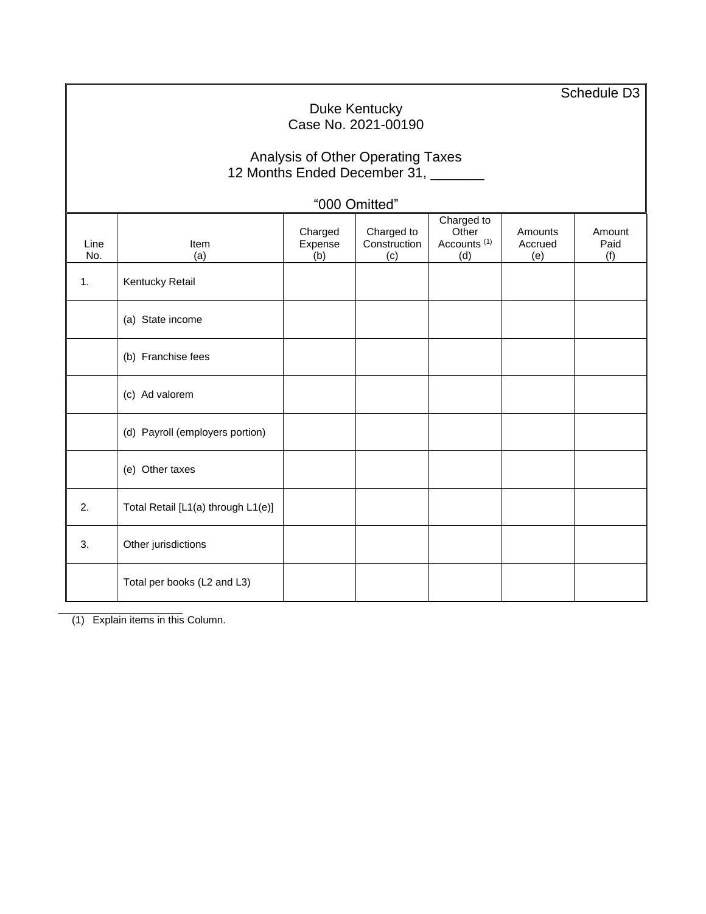Schedule D3 Duke Kentucky Case No. 2021-00190 Analysis of Other Operating Taxes 12 Months Ended December 31, \_\_\_\_\_\_ "000 Omitted" Line No. Item (a) Charged Expense  $(b)$ Charged to **Construction** (c) Charged to **Other** Accounts (1) (d) **Amounts** Accrued (e) Amount Paid (f) 1. **Kentucky Retail** (a) State income (b) Franchise fees (c) Ad valorem (d) Payroll (employers portion) (e) Other taxes 2.  $\boxed{\phantom{0} \text{Total Retail [L1(a) through L1(e)]}}$ 3. Other jurisdictions Total per books (L2 and L3)

(1) Explain items in this Column.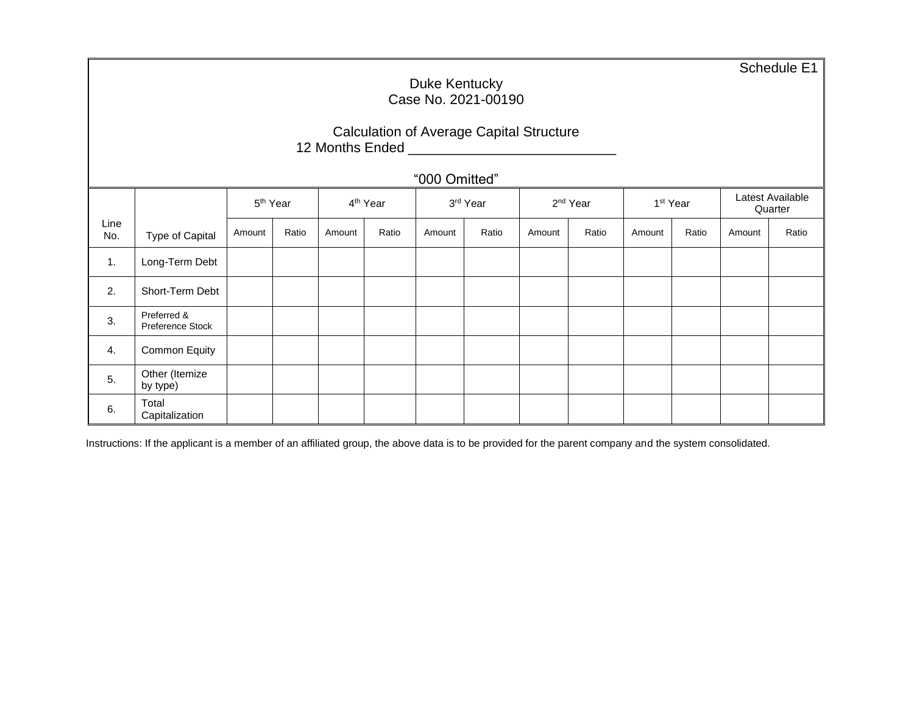Schedule E1

### Duke Kentucky Case No. 2021-00190

### Calculation of Average Capital Structure 12 Months Ended \_\_\_\_\_\_\_\_\_\_\_\_\_\_\_\_\_\_\_\_\_\_\_\_\_\_\_

# "000 Omitted"

|             |                                 |        | 5 <sup>th</sup> Year |        | 4 <sup>th</sup> Year |        | 3rd Year |        | 2 <sup>nd</sup> Year |        | 1 <sup>st</sup> Year |        | Latest Available<br>Quarter |  |
|-------------|---------------------------------|--------|----------------------|--------|----------------------|--------|----------|--------|----------------------|--------|----------------------|--------|-----------------------------|--|
| Line<br>No. | Type of Capital                 | Amount | Ratio                | Amount | Ratio                | Amount | Ratio    | Amount | Ratio                | Amount | Ratio                | Amount | Ratio                       |  |
| 1.          | Long-Term Debt                  |        |                      |        |                      |        |          |        |                      |        |                      |        |                             |  |
| 2.          | Short-Term Debt                 |        |                      |        |                      |        |          |        |                      |        |                      |        |                             |  |
| 3.          | Preferred &<br>Preference Stock |        |                      |        |                      |        |          |        |                      |        |                      |        |                             |  |
| 4.          | Common Equity                   |        |                      |        |                      |        |          |        |                      |        |                      |        |                             |  |
| 5.          | Other (Itemize<br>by type)      |        |                      |        |                      |        |          |        |                      |        |                      |        |                             |  |
| 6.          | Total<br>Capitalization         |        |                      |        |                      |        |          |        |                      |        |                      |        |                             |  |

Instructions: If the applicant is a member of an affiliated group, the above data is to be provided for the parent company and the system consolidated.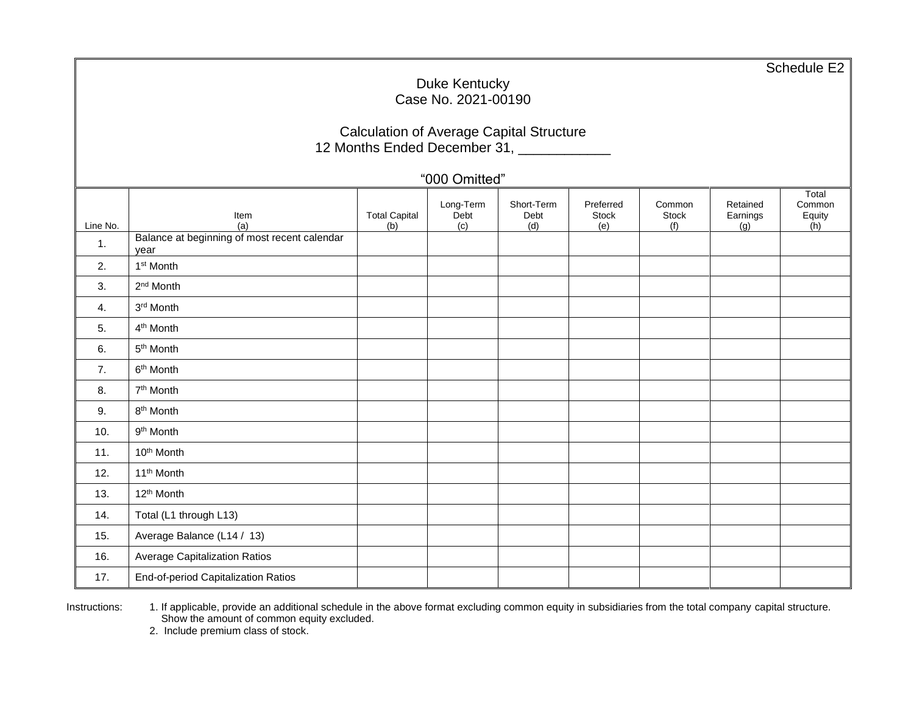Schedule E2

### Duke Kentucky Case No. 2021-00190

# Calculation of Average Capital Structure 12 Months Ended December 31, \_\_\_\_\_\_\_\_\_\_\_\_

"000 Omitted"

| Line No. | Item<br>(a)                                          | <b>Total Capital</b><br>(b) | Long-Term<br>Debt<br>(c) | Short-Term<br>Debt<br>(d) | Preferred<br>Stock<br>(e) | Common<br><b>Stock</b><br>(f) | Retained<br>Earnings<br>(g) | Total<br>Common<br>Equity<br>(h) |
|----------|------------------------------------------------------|-----------------------------|--------------------------|---------------------------|---------------------------|-------------------------------|-----------------------------|----------------------------------|
| 1.       | Balance at beginning of most recent calendar<br>year |                             |                          |                           |                           |                               |                             |                                  |
| 2.       | 1 <sup>st</sup> Month                                |                             |                          |                           |                           |                               |                             |                                  |
| 3.       | 2 <sup>nd</sup> Month                                |                             |                          |                           |                           |                               |                             |                                  |
| 4.       | 3rd Month                                            |                             |                          |                           |                           |                               |                             |                                  |
| 5.       | 4 <sup>th</sup> Month                                |                             |                          |                           |                           |                               |                             |                                  |
| 6.       | 5 <sup>th</sup> Month                                |                             |                          |                           |                           |                               |                             |                                  |
| 7.       | 6 <sup>th</sup> Month                                |                             |                          |                           |                           |                               |                             |                                  |
| 8.       | 7 <sup>th</sup> Month                                |                             |                          |                           |                           |                               |                             |                                  |
| 9.       | 8 <sup>th</sup> Month                                |                             |                          |                           |                           |                               |                             |                                  |
| 10.      | 9 <sup>th</sup> Month                                |                             |                          |                           |                           |                               |                             |                                  |
| 11.      | 10 <sup>th</sup> Month                               |                             |                          |                           |                           |                               |                             |                                  |
| 12.      | 11 <sup>th</sup> Month                               |                             |                          |                           |                           |                               |                             |                                  |
| 13.      | 12 <sup>th</sup> Month                               |                             |                          |                           |                           |                               |                             |                                  |
| 14.      | Total (L1 through L13)                               |                             |                          |                           |                           |                               |                             |                                  |
| 15.      | Average Balance (L14 / 13)                           |                             |                          |                           |                           |                               |                             |                                  |
| 16.      | Average Capitalization Ratios                        |                             |                          |                           |                           |                               |                             |                                  |
| 17.      | End-of-period Capitalization Ratios                  |                             |                          |                           |                           |                               |                             |                                  |

Instructions: 1. If applicable, provide an additional schedule in the above format excluding common equity in subsidiaries from the total company capital structure. Show the amount of common equity excluded.

2. Include premium class of stock.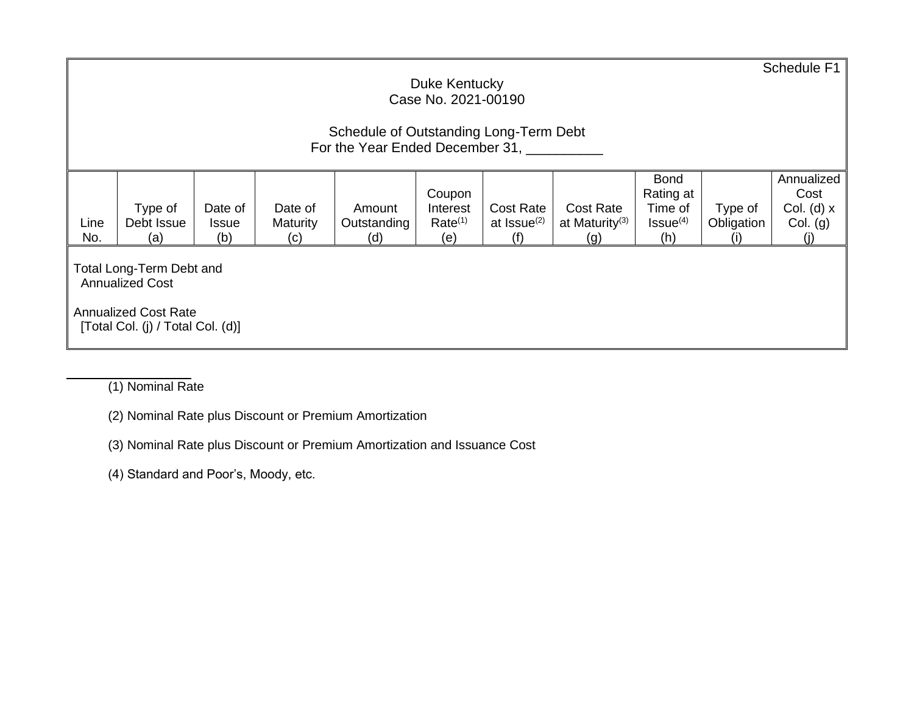|             | Schedule F1<br>Duke Kentucky<br>Case No. 2021-00190                                                                    |              |                        |                    |                            |                         |                          |                      |            |              |  |  |
|-------------|------------------------------------------------------------------------------------------------------------------------|--------------|------------------------|--------------------|----------------------------|-------------------------|--------------------------|----------------------|------------|--------------|--|--|
|             | Schedule of Outstanding Long-Term Debt<br>For the Year Ended December 31,                                              |              |                        |                    |                            |                         |                          |                      |            |              |  |  |
|             | Annualized<br><b>Bond</b><br>Rating at<br>Cost<br>Coupon                                                               |              |                        |                    |                            |                         |                          |                      |            |              |  |  |
|             | Type of                                                                                                                | Date of      | Date of                | Amount             | Interest                   | <b>Cost Rate</b>        | <b>Cost Rate</b>         | Time of              | Type of    | Col. (d) $x$ |  |  |
| Line<br>No. | Debt Issue<br>(a)                                                                                                      | Issue<br>(b) | <b>Maturity</b><br>(c) | Outstanding<br>(d) | Rate <sup>(1)</sup><br>(e) | at Issue <sup>(2)</sup> | at Maturity $(3)$<br>(g) | $Issue^{(4)}$<br>(h) | Obligation | Col. (g)     |  |  |
|             | Total Long-Term Debt and<br><b>Annualized Cost</b><br><b>Annualized Cost Rate</b><br>[Total Col. (j) / Total Col. (d)] |              |                        |                    |                            |                         |                          |                      |            |              |  |  |

(1) Nominal Rate

- (2) Nominal Rate plus Discount or Premium Amortization
- (3) Nominal Rate plus Discount or Premium Amortization and Issuance Cost

(4) Standard and Poor's, Moody, etc.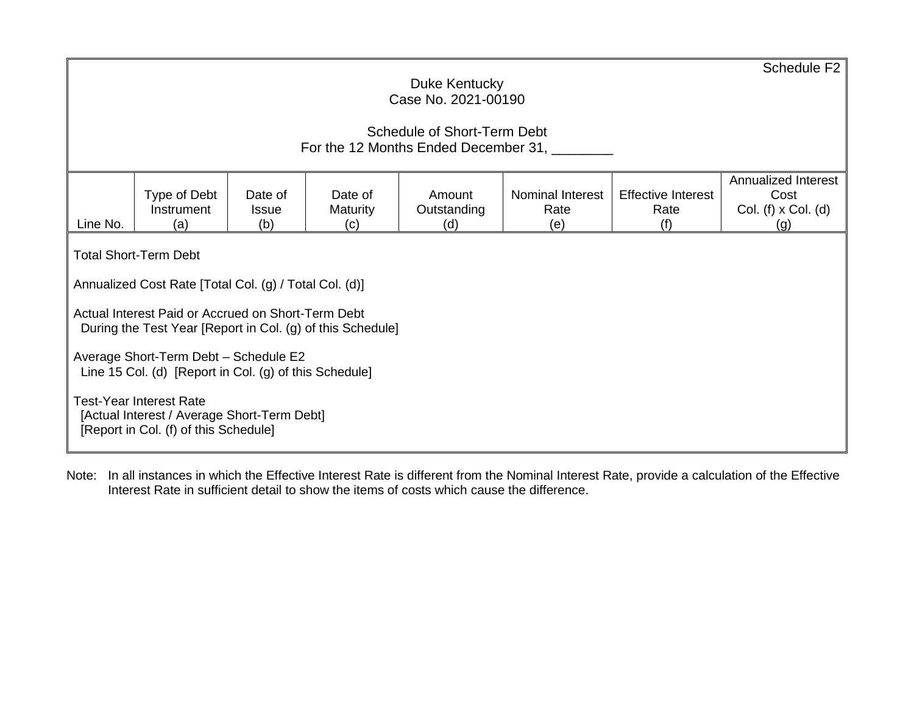|                                                                     | Schedule F <sub>2</sub><br>Duke Kentucky<br>Case No. 2021-00190                                                                                                                                                                                                                                                                                                                                                                         |  |  |  |  |  |  |  |  |  |  |
|---------------------------------------------------------------------|-----------------------------------------------------------------------------------------------------------------------------------------------------------------------------------------------------------------------------------------------------------------------------------------------------------------------------------------------------------------------------------------------------------------------------------------|--|--|--|--|--|--|--|--|--|--|
| Schedule of Short-Term Debt<br>For the 12 Months Ended December 31, |                                                                                                                                                                                                                                                                                                                                                                                                                                         |  |  |  |  |  |  |  |  |  |  |
| Line No.                                                            | Annualized Interest<br>Nominal Interest<br><b>Effective Interest</b><br>Type of Debt<br>Date of<br>Cost<br>Date of<br>Amount<br>Instrument<br><b>Maturity</b><br>Outstanding<br>Rate<br>Rate<br>Col. (f) $x$ Col. (d)<br><b>Issue</b><br>(b)<br>(a)<br>(d)<br>(f)<br>(e)<br>$\left( c\right)$<br>(g)                                                                                                                                    |  |  |  |  |  |  |  |  |  |  |
|                                                                     | <b>Total Short-Term Debt</b><br>Annualized Cost Rate [Total Col. (g) / Total Col. (d)]<br>Actual Interest Paid or Accrued on Short-Term Debt<br>During the Test Year [Report in Col. (g) of this Schedule]<br>Average Short-Term Debt - Schedule E2<br>Line 15 Col. (d) [Report in Col. (g) of this Schedule]<br><b>Test-Year Interest Rate</b><br>[Actual Interest / Average Short-Term Debt]<br>[Report in Col. (f) of this Schedule] |  |  |  |  |  |  |  |  |  |  |

Note: In all instances in which the Effective Interest Rate is different from the Nominal Interest Rate, provide a calculation of the Effective Interest Rate in sufficient detail to show the items of costs which cause the difference.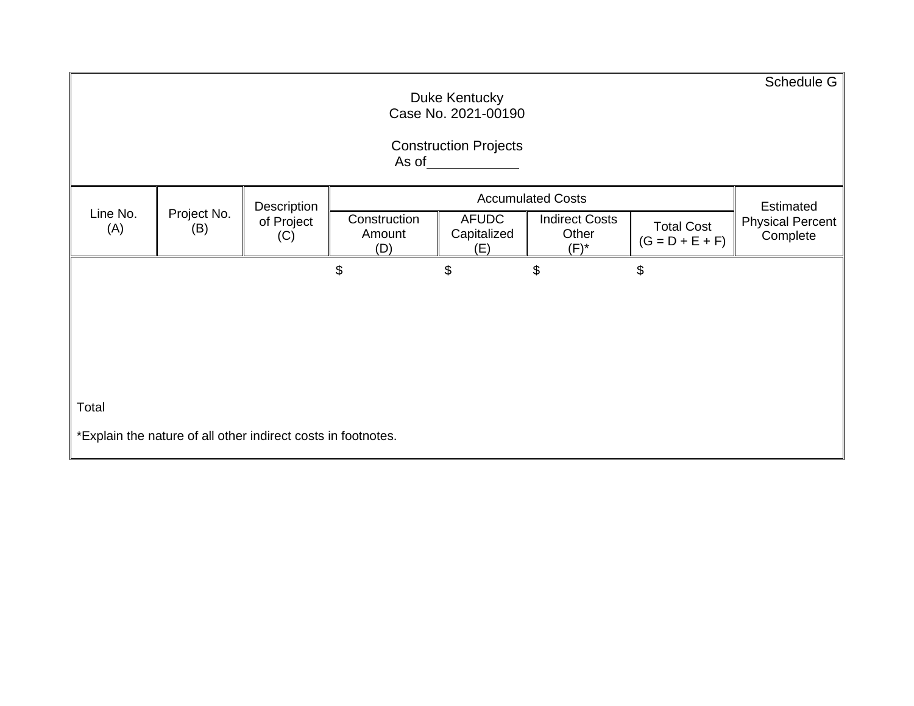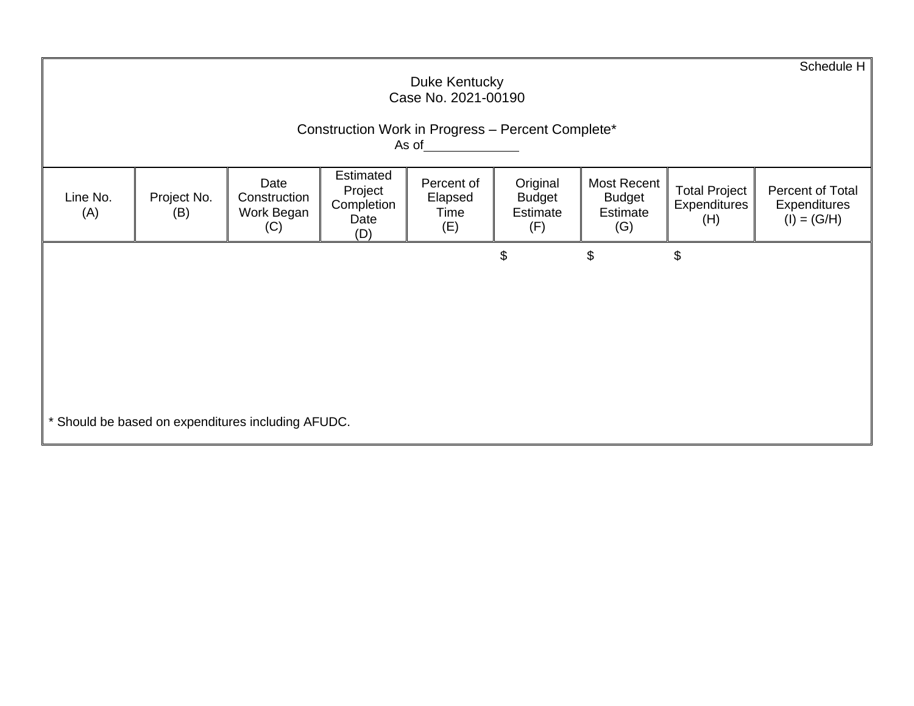|                 |                                                                                                                                                                                                                                                                                                                                                                     |  |  | Duke Kentucky<br>Case No. 2021-00190 |                |    |    | Schedule H |  |  |  |  |
|-----------------|---------------------------------------------------------------------------------------------------------------------------------------------------------------------------------------------------------------------------------------------------------------------------------------------------------------------------------------------------------------------|--|--|--------------------------------------|----------------|----|----|------------|--|--|--|--|
|                 | Construction Work in Progress - Percent Complete*<br>As of <u>the contract of the contract of the contract of the contract of the contract of the contract of the contract of the contract of the contract of the contract of the contract of the contract of the contract of the con</u>                                                                           |  |  |                                      |                |    |    |            |  |  |  |  |
| Line No.<br>(A) | Estimated<br>Date<br>Original<br>Percent of<br>Most Recent<br><b>Total Project</b><br>Percent of Total<br>Project<br>Project No.<br>Elapsed<br><b>Budget</b><br>Construction<br><b>Budget</b><br>Completion<br>Expenditures<br>Expenditures<br>Estimate<br>Estimate<br>Work Began<br>(B)<br>Time<br>$(I) = (G/H)$<br>Date<br>(H)<br>(F)<br>(G)<br>(C)<br>(E)<br>(D) |  |  |                                      |                |    |    |            |  |  |  |  |
|                 |                                                                                                                                                                                                                                                                                                                                                                     |  |  |                                      | $\mathfrak{S}$ | \$ | \$ |            |  |  |  |  |
|                 |                                                                                                                                                                                                                                                                                                                                                                     |  |  |                                      |                |    |    |            |  |  |  |  |
|                 |                                                                                                                                                                                                                                                                                                                                                                     |  |  |                                      |                |    |    |            |  |  |  |  |
|                 | * Should be based on expenditures including AFUDC.                                                                                                                                                                                                                                                                                                                  |  |  |                                      |                |    |    |            |  |  |  |  |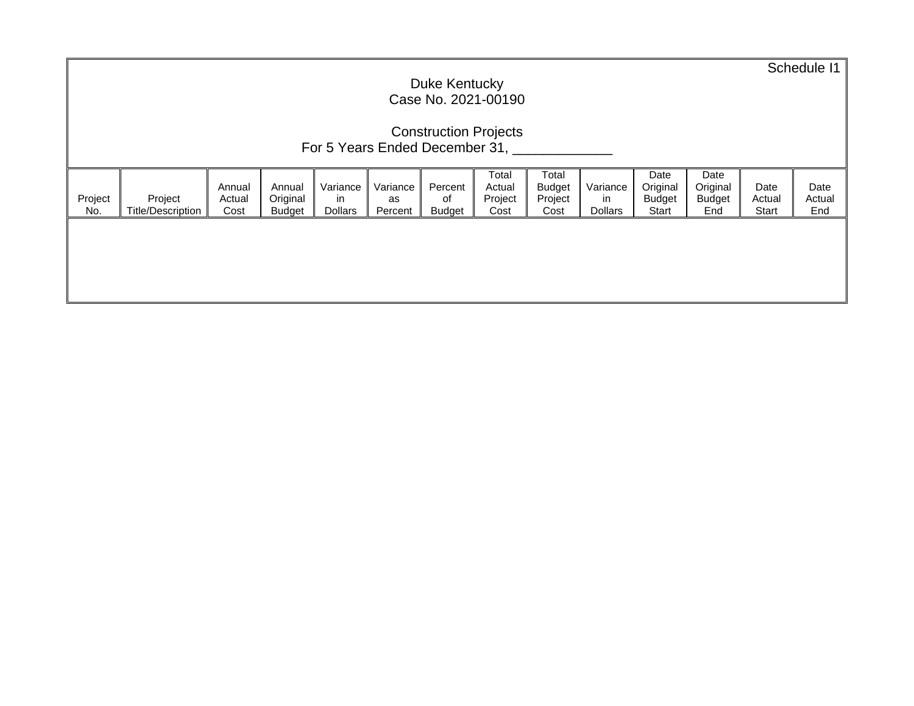|                                                                                                                                                                                                                                                                                                                                                                                                                                | Duke Kentucky<br>Case No. 2021-00190 |  |  |  |  |  |  |  |  |  |                         |                       | Schedule I1 |
|--------------------------------------------------------------------------------------------------------------------------------------------------------------------------------------------------------------------------------------------------------------------------------------------------------------------------------------------------------------------------------------------------------------------------------|--------------------------------------|--|--|--|--|--|--|--|--|--|-------------------------|-----------------------|-------------|
| <b>Construction Projects</b><br>For 5 Years Ended December 31,                                                                                                                                                                                                                                                                                                                                                                 |                                      |  |  |  |  |  |  |  |  |  |                         |                       |             |
| Total<br>Total<br>Date<br>Date<br>Original<br>Variance<br>Original<br>Variance<br>Variance<br>Percent<br>Annual<br>Annual<br>Actual<br><b>Budget</b><br>Project<br>Original<br>Project<br>Project<br>Project<br>in<br><b>Budget</b><br><b>Budget</b><br>Actual<br>in<br>оf<br>as<br><b>Title/Description</b><br>Cost<br>Percent<br>No.<br><b>Dollars</b><br>Start<br><b>Budget</b><br>Budget<br>Cost<br>Dollars<br>End<br>Cost |                                      |  |  |  |  |  |  |  |  |  | Date<br>Actual<br>Start | Date<br>Actual<br>End |             |
|                                                                                                                                                                                                                                                                                                                                                                                                                                |                                      |  |  |  |  |  |  |  |  |  |                         |                       |             |
|                                                                                                                                                                                                                                                                                                                                                                                                                                |                                      |  |  |  |  |  |  |  |  |  |                         |                       |             |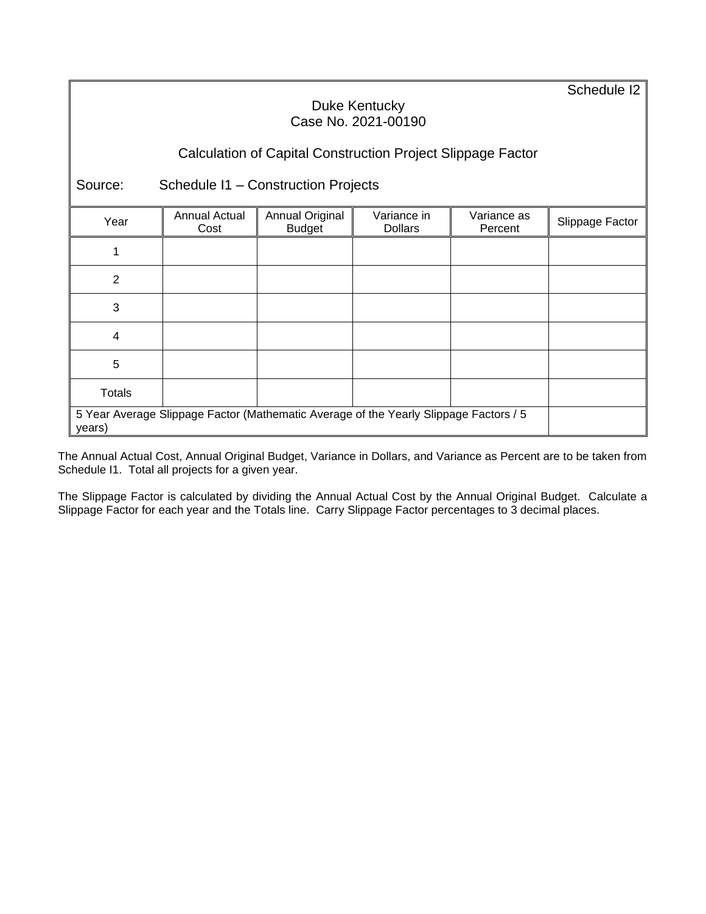Schedule I2

### Duke Kentucky Case No. 2021-00190

# Calculation of Capital Construction Project Slippage Factor

Source: Schedule I1 – Construction Projects

|               | Annual Actual                                                                         | Annual Original | Variance in    | Variance as |                 |  |  |
|---------------|---------------------------------------------------------------------------------------|-----------------|----------------|-------------|-----------------|--|--|
| Year          | Cost                                                                                  | <b>Budget</b>   | <b>Dollars</b> | Percent     | Slippage Factor |  |  |
|               |                                                                                       |                 |                |             |                 |  |  |
| 2             |                                                                                       |                 |                |             |                 |  |  |
| 3             |                                                                                       |                 |                |             |                 |  |  |
| 4             |                                                                                       |                 |                |             |                 |  |  |
| 5             |                                                                                       |                 |                |             |                 |  |  |
| <b>Totals</b> |                                                                                       |                 |                |             |                 |  |  |
| years)        | 5 Year Average Slippage Factor (Mathematic Average of the Yearly Slippage Factors / 5 |                 |                |             |                 |  |  |

The Annual Actual Cost, Annual Original Budget, Variance in Dollars, and Variance as Percent are to be taken from Schedule I1. Total all projects for a given year.

The Slippage Factor is calculated by dividing the Annual Actual Cost by the Annual Original Budget. Calculate a Slippage Factor for each year and the Totals line. Carry Slippage Factor percentages to 3 decimal places.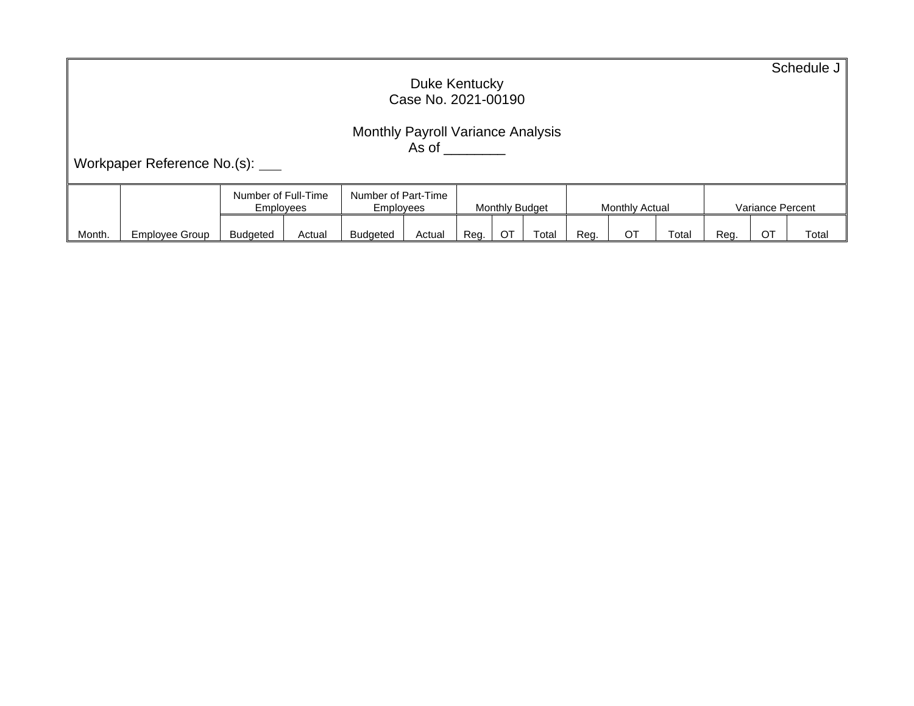| Duke Kentucky<br>Case No. 2021-00190 |                                                                                                                                                                                                |                 |        |                 |        |      |    |       |      | Schedule J |       |      |    |       |
|--------------------------------------|------------------------------------------------------------------------------------------------------------------------------------------------------------------------------------------------|-----------------|--------|-----------------|--------|------|----|-------|------|------------|-------|------|----|-------|
|                                      | <b>Monthly Payroll Variance Analysis</b><br>As of the control of the control of the control of the control of the control of the control of the control of<br>Workpaper Reference No.(s): ____ |                 |        |                 |        |      |    |       |      |            |       |      |    |       |
|                                      | Number of Part-Time<br>Number of Full-Time<br>Monthly Budget<br>Monthly Actual<br>Variance Percent<br>Employees<br><b>Employees</b>                                                            |                 |        |                 |        |      |    |       |      |            |       |      |    |       |
| Month.                               | Employee Group                                                                                                                                                                                 | <b>Budgeted</b> | Actual | <b>Budgeted</b> | Actual | Reg. | ОT | Total | Reg. | <b>OT</b>  | Total | Reg. | ОT | Total |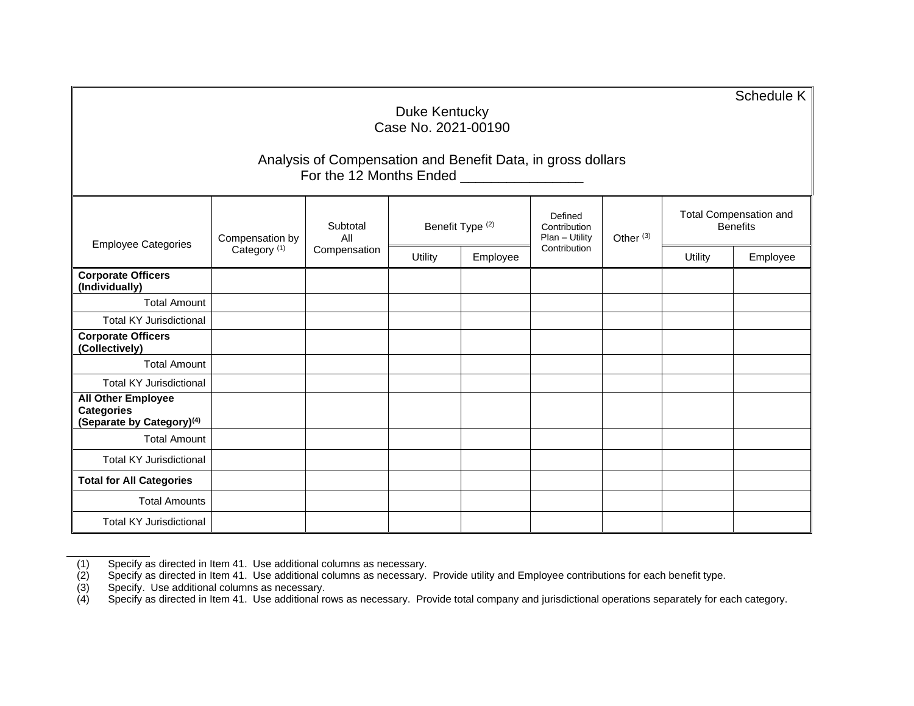|                                                                                         |                                            |                                 |                             |          |                                           |                      |                                                  | Schedule K |  |
|-----------------------------------------------------------------------------------------|--------------------------------------------|---------------------------------|-----------------------------|----------|-------------------------------------------|----------------------|--------------------------------------------------|------------|--|
| Duke Kentucky<br>Case No. 2021-00190                                                    |                                            |                                 |                             |          |                                           |                      |                                                  |            |  |
| Analysis of Compensation and Benefit Data, in gross dollars<br>For the 12 Months Ended  |                                            |                                 |                             |          |                                           |                      |                                                  |            |  |
| <b>Employee Categories</b>                                                              | Compensation by<br>Category <sup>(1)</sup> | Subtotal<br>All<br>Compensation | Benefit Type <sup>(2)</sup> |          | Defined<br>Contribution<br>Plan - Utility | Other <sup>(3)</sup> | <b>Total Compensation and</b><br><b>Benefits</b> |            |  |
|                                                                                         |                                            |                                 | Utility                     | Employee | Contribution                              |                      | <b>Utility</b>                                   | Employee   |  |
| <b>Corporate Officers</b><br>(Individually)                                             |                                            |                                 |                             |          |                                           |                      |                                                  |            |  |
| <b>Total Amount</b>                                                                     |                                            |                                 |                             |          |                                           |                      |                                                  |            |  |
| <b>Total KY Jurisdictional</b>                                                          |                                            |                                 |                             |          |                                           |                      |                                                  |            |  |
| <b>Corporate Officers</b><br>(Collectively)                                             |                                            |                                 |                             |          |                                           |                      |                                                  |            |  |
| <b>Total Amount</b>                                                                     |                                            |                                 |                             |          |                                           |                      |                                                  |            |  |
| <b>Total KY Jurisdictional</b>                                                          |                                            |                                 |                             |          |                                           |                      |                                                  |            |  |
| <b>All Other Employee</b><br><b>Categories</b><br>(Separate by Category) <sup>(4)</sup> |                                            |                                 |                             |          |                                           |                      |                                                  |            |  |
| <b>Total Amount</b>                                                                     |                                            |                                 |                             |          |                                           |                      |                                                  |            |  |
| <b>Total KY Jurisdictional</b>                                                          |                                            |                                 |                             |          |                                           |                      |                                                  |            |  |
| <b>Total for All Categories</b>                                                         |                                            |                                 |                             |          |                                           |                      |                                                  |            |  |
| <b>Total Amounts</b>                                                                    |                                            |                                 |                             |          |                                           |                      |                                                  |            |  |
| <b>Total KY Jurisdictional</b>                                                          |                                            |                                 |                             |          |                                           |                      |                                                  |            |  |

(1) Specify as directed in Item 41. Use additional columns as necessary.

(2) Specify as directed in Item 41. Use additional columns as necessary. Provide utility and Employee contributions for each benefit type.

(3) Specify. Use additional columns as necessary.

(4) Specify as directed in Item 41. Use additional rows as necessary. Provide total company and jurisdictional operations separately for each category.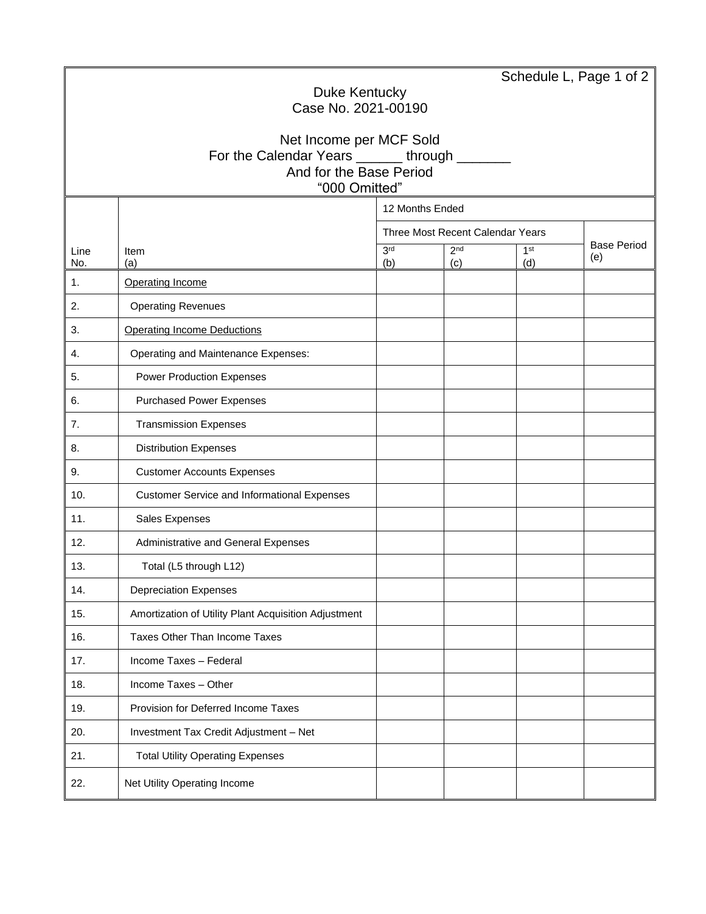|                     |                                                      |                 |                                  |     | Schedule L, Page 1 of 2 |  |  |  |  |  |
|---------------------|------------------------------------------------------|-----------------|----------------------------------|-----|-------------------------|--|--|--|--|--|
|                     | Duke Kentucky                                        |                 |                                  |     |                         |  |  |  |  |  |
| Case No. 2021-00190 |                                                      |                 |                                  |     |                         |  |  |  |  |  |
|                     | Net Income per MCF Sold                              |                 |                                  |     |                         |  |  |  |  |  |
|                     | For the Calendar Years _______ through _____         |                 |                                  |     |                         |  |  |  |  |  |
|                     | And for the Base Period<br>"000 Omitted"             |                 |                                  |     |                         |  |  |  |  |  |
|                     | 12 Months Ended                                      |                 |                                  |     |                         |  |  |  |  |  |
|                     |                                                      |                 | Three Most Recent Calendar Years |     |                         |  |  |  |  |  |
| Line                | Item                                                 | 3 <sup>rd</sup> | <b>Base Period</b>               |     |                         |  |  |  |  |  |
| No.                 | (a)                                                  | (b)             | (c)                              | (d) | (e)                     |  |  |  |  |  |
| 1.                  | Operating Income                                     |                 |                                  |     |                         |  |  |  |  |  |
| 2.                  | <b>Operating Revenues</b>                            |                 |                                  |     |                         |  |  |  |  |  |
| 3.                  | <b>Operating Income Deductions</b>                   |                 |                                  |     |                         |  |  |  |  |  |
| 4.                  | Operating and Maintenance Expenses:                  |                 |                                  |     |                         |  |  |  |  |  |
| 5.                  | <b>Power Production Expenses</b>                     |                 |                                  |     |                         |  |  |  |  |  |
| 6.                  | <b>Purchased Power Expenses</b>                      |                 |                                  |     |                         |  |  |  |  |  |
| 7.                  | <b>Transmission Expenses</b>                         |                 |                                  |     |                         |  |  |  |  |  |
| 8.                  | <b>Distribution Expenses</b>                         |                 |                                  |     |                         |  |  |  |  |  |
| 9.                  | <b>Customer Accounts Expenses</b>                    |                 |                                  |     |                         |  |  |  |  |  |
| 10.                 | <b>Customer Service and Informational Expenses</b>   |                 |                                  |     |                         |  |  |  |  |  |
| 11.                 | Sales Expenses                                       |                 |                                  |     |                         |  |  |  |  |  |
| 12.                 | Administrative and General Expenses                  |                 |                                  |     |                         |  |  |  |  |  |
| 13.                 | Total (L5 through L12)                               |                 |                                  |     |                         |  |  |  |  |  |
| 14.                 | <b>Depreciation Expenses</b>                         |                 |                                  |     |                         |  |  |  |  |  |
| 15.                 | Amortization of Utility Plant Acquisition Adjustment |                 |                                  |     |                         |  |  |  |  |  |
| 16.                 | Taxes Other Than Income Taxes                        |                 |                                  |     |                         |  |  |  |  |  |
| 17.                 | Income Taxes - Federal                               |                 |                                  |     |                         |  |  |  |  |  |
| 18.                 | Income Taxes - Other                                 |                 |                                  |     |                         |  |  |  |  |  |
| 19.                 | Provision for Deferred Income Taxes                  |                 |                                  |     |                         |  |  |  |  |  |
| 20.                 | Investment Tax Credit Adjustment - Net               |                 |                                  |     |                         |  |  |  |  |  |
| 21.                 | <b>Total Utility Operating Expenses</b>              |                 |                                  |     |                         |  |  |  |  |  |
| 22.                 | Net Utility Operating Income                         |                 |                                  |     |                         |  |  |  |  |  |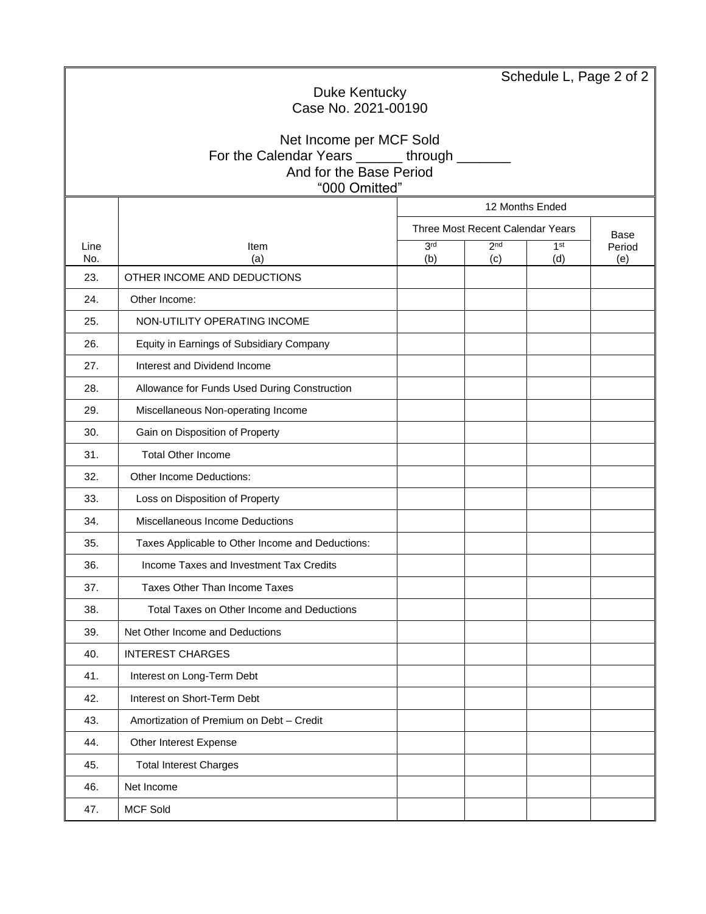|                     |                                                                        |                                          |                        |                        | Schedule L, Page 2 of 2 |  |  |  |  |  |
|---------------------|------------------------------------------------------------------------|------------------------------------------|------------------------|------------------------|-------------------------|--|--|--|--|--|
| Duke Kentucky       |                                                                        |                                          |                        |                        |                         |  |  |  |  |  |
| Case No. 2021-00190 |                                                                        |                                          |                        |                        |                         |  |  |  |  |  |
|                     | Net Income per MCF Sold                                                |                                          |                        |                        |                         |  |  |  |  |  |
|                     | For the Calendar Years ______ through _____<br>And for the Base Period |                                          |                        |                        |                         |  |  |  |  |  |
|                     | "000 Omitted"                                                          |                                          |                        |                        |                         |  |  |  |  |  |
|                     |                                                                        | 12 Months Ended                          |                        |                        |                         |  |  |  |  |  |
|                     |                                                                        | Three Most Recent Calendar Years<br>Base |                        |                        |                         |  |  |  |  |  |
| Line<br>No.         | Item<br>(a)                                                            | 3 <sup>rd</sup><br>(b)                   | 2 <sub>nd</sub><br>(c) | 1 <sup>st</sup><br>(d) | Period<br>(e)           |  |  |  |  |  |
| 23.                 | OTHER INCOME AND DEDUCTIONS                                            |                                          |                        |                        |                         |  |  |  |  |  |
| 24.                 | Other Income:                                                          |                                          |                        |                        |                         |  |  |  |  |  |
| 25.                 | NON-UTILITY OPERATING INCOME                                           |                                          |                        |                        |                         |  |  |  |  |  |
| 26.                 | Equity in Earnings of Subsidiary Company                               |                                          |                        |                        |                         |  |  |  |  |  |
| 27.                 | Interest and Dividend Income                                           |                                          |                        |                        |                         |  |  |  |  |  |
| 28.                 | Allowance for Funds Used During Construction                           |                                          |                        |                        |                         |  |  |  |  |  |
| 29.                 | Miscellaneous Non-operating Income                                     |                                          |                        |                        |                         |  |  |  |  |  |
| 30.                 | Gain on Disposition of Property                                        |                                          |                        |                        |                         |  |  |  |  |  |
| 31.                 | <b>Total Other Income</b>                                              |                                          |                        |                        |                         |  |  |  |  |  |
| 32.                 | Other Income Deductions:                                               |                                          |                        |                        |                         |  |  |  |  |  |
| 33.                 | Loss on Disposition of Property                                        |                                          |                        |                        |                         |  |  |  |  |  |
| 34.                 | Miscellaneous Income Deductions                                        |                                          |                        |                        |                         |  |  |  |  |  |
| 35.                 | Taxes Applicable to Other Income and Deductions:                       |                                          |                        |                        |                         |  |  |  |  |  |
| 36.                 | Income Taxes and Investment Tax Credits                                |                                          |                        |                        |                         |  |  |  |  |  |
| 37.                 | Taxes Other Than Income Taxes                                          |                                          |                        |                        |                         |  |  |  |  |  |
| 38.                 | Total Taxes on Other Income and Deductions                             |                                          |                        |                        |                         |  |  |  |  |  |
| 39.                 | Net Other Income and Deductions                                        |                                          |                        |                        |                         |  |  |  |  |  |
| 40.                 | <b>INTEREST CHARGES</b>                                                |                                          |                        |                        |                         |  |  |  |  |  |
| 41.                 | Interest on Long-Term Debt                                             |                                          |                        |                        |                         |  |  |  |  |  |
| 42.                 | Interest on Short-Term Debt                                            |                                          |                        |                        |                         |  |  |  |  |  |
| 43.                 | Amortization of Premium on Debt - Credit                               |                                          |                        |                        |                         |  |  |  |  |  |
| 44.                 | Other Interest Expense                                                 |                                          |                        |                        |                         |  |  |  |  |  |
| 45.                 | <b>Total Interest Charges</b>                                          |                                          |                        |                        |                         |  |  |  |  |  |
| 46.                 | Net Income                                                             |                                          |                        |                        |                         |  |  |  |  |  |
| 47.                 | <b>MCF Sold</b>                                                        |                                          |                        |                        |                         |  |  |  |  |  |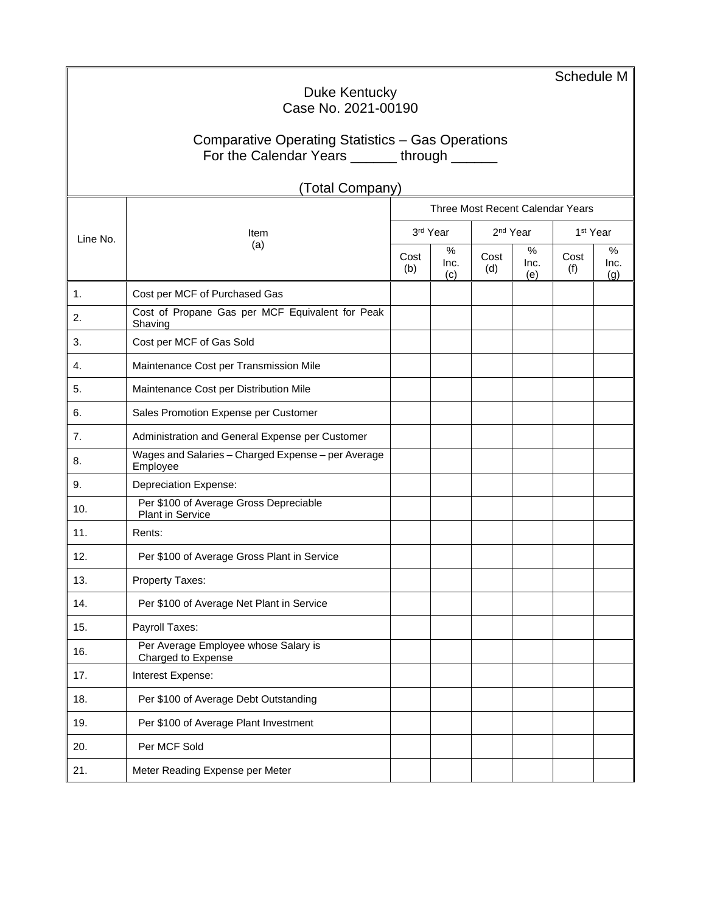|                                                   |                                                                |             |                     |                      |                  | Schedule M           |                  |  |  |
|---------------------------------------------------|----------------------------------------------------------------|-------------|---------------------|----------------------|------------------|----------------------|------------------|--|--|
| Duke Kentucky<br>Case No. 2021-00190              |                                                                |             |                     |                      |                  |                      |                  |  |  |
|                                                   |                                                                |             |                     |                      |                  |                      |                  |  |  |
| Comparative Operating Statistics - Gas Operations |                                                                |             |                     |                      |                  |                      |                  |  |  |
| For the Calendar Years ______ through ______      |                                                                |             |                     |                      |                  |                      |                  |  |  |
|                                                   | (Total Company)                                                |             |                     |                      |                  |                      |                  |  |  |
|                                                   | Three Most Recent Calendar Years                               |             |                     |                      |                  |                      |                  |  |  |
| Line No.                                          | Item                                                           | 3rd Year    |                     | 2 <sup>nd</sup> Year |                  | 1 <sup>st</sup> Year |                  |  |  |
|                                                   | (a)                                                            | Cost<br>(b) | $\%$<br>Inc.<br>(c) | Cost<br>(d)          | %<br>Inc.<br>(e) | Cost<br>(f)          | %<br>Inc.<br>(g) |  |  |
| 1.                                                | Cost per MCF of Purchased Gas                                  |             |                     |                      |                  |                      |                  |  |  |
| 2.                                                | Cost of Propane Gas per MCF Equivalent for Peak<br>Shaving     |             |                     |                      |                  |                      |                  |  |  |
| 3.                                                | Cost per MCF of Gas Sold                                       |             |                     |                      |                  |                      |                  |  |  |
| 4.                                                | Maintenance Cost per Transmission Mile                         |             |                     |                      |                  |                      |                  |  |  |
| 5.                                                | Maintenance Cost per Distribution Mile                         |             |                     |                      |                  |                      |                  |  |  |
| 6.                                                | Sales Promotion Expense per Customer                           |             |                     |                      |                  |                      |                  |  |  |
| 7.                                                | Administration and General Expense per Customer                |             |                     |                      |                  |                      |                  |  |  |
| 8.                                                | Wages and Salaries - Charged Expense - per Average<br>Employee |             |                     |                      |                  |                      |                  |  |  |
| 9.                                                | <b>Depreciation Expense:</b>                                   |             |                     |                      |                  |                      |                  |  |  |
| 10.                                               | Per \$100 of Average Gross Depreciable<br>Plant in Service     |             |                     |                      |                  |                      |                  |  |  |
| 11.                                               | Rents:                                                         |             |                     |                      |                  |                      |                  |  |  |
| 12.                                               | Per \$100 of Average Gross Plant in Service                    |             |                     |                      |                  |                      |                  |  |  |
| 13.                                               | Property Taxes:                                                |             |                     |                      |                  |                      |                  |  |  |
| 14.                                               | Per \$100 of Average Net Plant in Service                      |             |                     |                      |                  |                      |                  |  |  |
| 15.                                               | Payroll Taxes:                                                 |             |                     |                      |                  |                      |                  |  |  |
| 16.                                               | Per Average Employee whose Salary is<br>Charged to Expense     |             |                     |                      |                  |                      |                  |  |  |
| 17.                                               | Interest Expense:                                              |             |                     |                      |                  |                      |                  |  |  |
| 18.                                               | Per \$100 of Average Debt Outstanding                          |             |                     |                      |                  |                      |                  |  |  |
| 19.                                               | Per \$100 of Average Plant Investment                          |             |                     |                      |                  |                      |                  |  |  |
| 20.                                               | Per MCF Sold                                                   |             |                     |                      |                  |                      |                  |  |  |
| 21.                                               | Meter Reading Expense per Meter                                |             |                     |                      |                  |                      |                  |  |  |